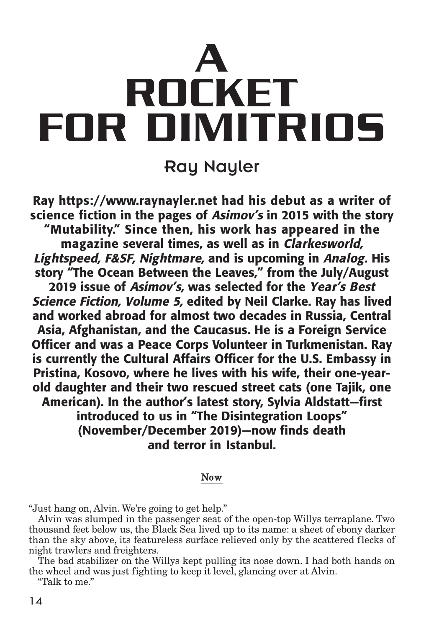# **A ROCKET FOR DIMITRIOS**

# Ray Nayler

**Ray https://www.raynayler.net had his debut as a writer of science fiction in the pages of Asimov's in 2015 with the story "Mutability." Since then, his work has appeared in the magazine several times, as well as in Clarkesworld, Lightspeed, F&SF, Nightmare, and is upcoming in Analog. His story "The Ocean Between the Leaves," from the July/August 2019 issue of Asimov's, was selected for the Year's Best Science Fiction, Volume 5, edited by Neil Clarke. Ray has lived and worked abroad for almost two decades in Russia, Central Asia, Afghanistan, and the Caucasus. He is a Foreign Service Officer and was a Peace Corps Volunteer in Turkmenistan. Ray is currently the Cultural Affairs Officer for the U.S. Embassy in Pristina, Kosovo, where he lives with his wife, their one-yearold daughter and their two rescued street cats (one Tajik, one American). In the author's latest story, Sylvia Aldstatt—first introduced to us in "The Disintegration Loops" (November/December 2019)—now finds death and terror in Istanbul.**

#### Now

"Just hang on, Alvin. We're going to get help."

Alvin was slumped in the passenger seat of the open-top Willys terraplane. Two thousand feet below us, the Black Sea lived up to its name: a sheet of ebony darker than the sky above, its featureless surface relieved only by the scattered flecks of night trawlers and freighters.

The bad stabilizer on the Willys kept pulling its nose down. I had both hands on the wheel and was just fighting to keep it level, glancing over at Alvin.

"Talk to me."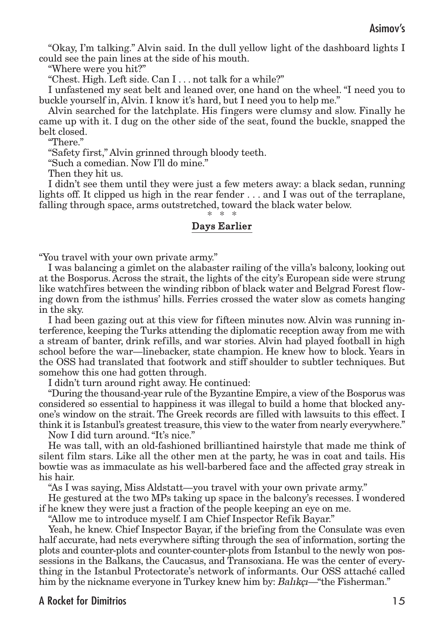"Okay, I'm talking." Alvin said. In the dull yellow light of the dashboard lights I could see the pain lines at the side of his mouth.

"Where were you hit?"

"Chest. High. Left side. Can I . . . not talk for a while?"

I unfastened my seat belt and leaned over, one hand on the wheel. "I need you to buckle yourself in, Alvin. I know it's hard, but I need you to help me."

Alvin searched for the latchplate. His fingers were clumsy and slow. Finally he came up with it. I dug on the other side of the seat, found the buckle, snapped the belt closed.

"There."

"Safety first," Alvin grinned through bloody teeth.

"Such a comedian. Now I'll do mine."

Then they hit us.

I didn't see them until they were just a few meters away: a black sedan, running lights off. It clipped us high in the rear fender . . . and I was out of the terraplane, falling through space, arms outstretched, toward the black water below.

# \* \* \*

#### Days Earlier

"You travel with your own private army."

I was balancing a gimlet on the alabaster railing of the villa's balcony, looking out at the Bosporus. Across the strait, the lights of the city's European side were strung like watchfires between the winding ribbon of black water and Belgrad Forest flowing down from the isthmus' hills. Ferries crossed the water slow as comets hanging in the sky.

I had been gazing out at this view for fifteen minutes now. Alvin was running interference, keeping the Turks attending the diplomatic reception away from me with a stream of banter, drink refills, and war stories. Alvin had played football in high school before the war—linebacker, state champion. He knew how to block. Years in the OSS had translated that footwork and stiff shoulder to subtler techniques. But somehow this one had gotten through.

I didn't turn around right away. He continued:

"During the thousand-year rule of the Byzantine Empire, a view of the Bosporus was considered so essential to happiness it was illegal to build a home that blocked anyone's window on the strait. The Greek records are filled with lawsuits to this effect. I think it is Istanbul's greatest treasure, this view to the water from nearly everywhere."

Now I did turn around."It's nice."

He was tall, with an old-fashioned brilliantined hairstyle that made me think of silent film stars. Like all the other men at the party, he was in coat and tails. His bowtie was as immaculate as his well-barbered face and the affected gray streak in his hair.

"As I was saying, Miss Aldstatt—you travel with your own private army."

He gestured at the two MPs taking up space in the balcony's recesses. I wondered if he knew they were just a fraction of the people keeping an eye on me.

"Allow me to introduce myself. I am Chief Inspector Refik Bayar."

Yeah, he knew. Chief Inspector Bayar, if the briefing from the Consulate was even half accurate, had nets everywhere sifting through the sea of information, sorting the plots and counter-plots and counter-counter-plots from Istanbul to the newly won possessions in the Balkans, the Caucasus, and Transoxiana. He was the center of everything in the Istanbul Protectorate's network of informants. Our OSS attaché called him by the nickname everyone in Turkey knew him by: Balıkçı—"the Fisherman."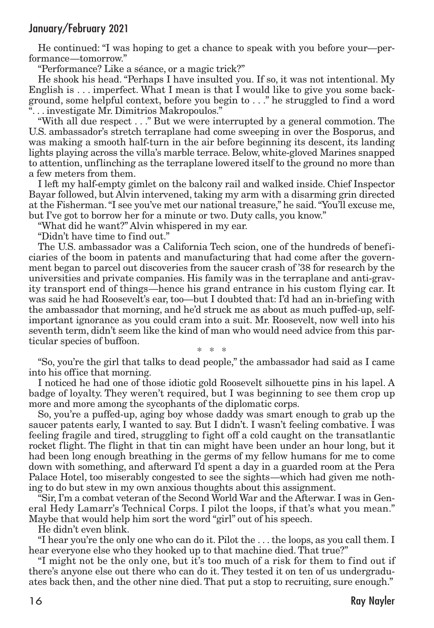He continued: "I was hoping to get a chance to speak with you before your—performance—tomorrow."

"Performance? Like a séance, or a magic trick?"

He shook his head. "Perhaps I have insulted you. If so, it was not intentional. My English is . . . imperfect. What I mean is that I would like to give you some background, some helpful context, before you begin to . . ." he struggled to find a word ". . . investigate Mr. Dimitrios Makropoulos."

"With all due respect . . ." But we were interrupted by a general commotion. The U.S. ambassador's stretch terraplane had come sweeping in over the Bosporus, and was making a smooth half-turn in the air before beginning its descent, its landing lights playing across the villa's marble terrace. Below, white-gloved Marines snapped to attention, unflinching as the terraplane lowered itself to the ground no more than a few meters from them.

I left my half-empty gimlet on the balcony rail and walked inside. Chief Inspector Bayar followed, but Alvin intervened, taking my arm with a disarming grin directed at the Fisherman."I see you've met our national treasure," he said."You'll excuse me, but I've got to borrow her for a minute or two. Duty calls, you know."

"What did he want?" Alvin whispered in my ear.

"Didn't have time to find out."

The U.S. ambassador was a California Tech scion, one of the hundreds of beneficiaries of the boom in patents and manufacturing that had come after the government began to parcel out discoveries from the saucer crash of '38 for research by the universities and private companies. His family was in the terraplane and anti-gravity transport end of things—hence his grand entrance in his custom flying car. It was said he had Roosevelt's ear, too—but I doubted that: I'd had an in-briefing with the ambassador that morning, and he'd struck me as about as much puffed-up, selfimportant ignorance as you could cram into a suit. Mr. Roosevelt, now well into his seventh term, didn't seem like the kind of man who would need advice from this particular species of buffoon.

\* \* \*

"So, you're the girl that talks to dead people," the ambassador had said as I came into his office that morning.

I noticed he had one of those idiotic gold Roosevelt silhouette pins in his lapel. A badge of loyalty. They weren't required, but I was beginning to see them crop up more and more among the sycophants of the diplomatic corps.

So, you're a puffed-up, aging boy whose daddy was smart enough to grab up the saucer patents early, I wanted to say. But I didn't. I wasn't feeling combative. I was feeling fragile and tired, struggling to fight off a cold caught on the transatlantic rocket flight. The flight in that tin can might have been under an hour long, but it had been long enough breathing in the germs of my fellow humans for me to come down with something, and afterward I'd spent a day in a guarded room at the Pera Palace Hotel, too miserably congested to see the sights—which had given me nothing to do but stew in my own anxious thoughts about this assignment.

"Sir, I'm a combat veteran of the Second World War and the Afterwar. I was in General Hedy Lamarr's Technical Corps. I pilot the loops, if that's what you mean." Maybe that would help him sort the word "girl" out of his speech.

He didn't even blink.

"I hear you're the only one who can do it. Pilot the . . . the loops, as you call them. I hear everyone else who they hooked up to that machine died. That true?"

"I might not be the only one, but it's too much of a risk for them to find out if there's anyone else out there who can do it. They tested it on ten of us undergraduates back then, and the other nine died. That put a stop to recruiting, sure enough."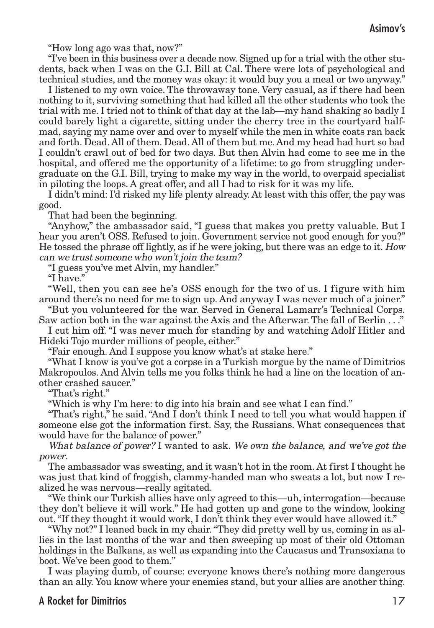"How long ago was that, now?"

"I've been in this business over a decade now. Signed up for a trial with the other students, back when I was on the G.I. Bill at Cal. There were lots of psychological and technical studies, and the money was okay: it would buy you a meal or two anyway."

I listened to my own voice. The throwaway tone. Very casual, as if there had been nothing to it, surviving something that had killed all the other students who took the trial with me. I tried not to think of that day at the lab—my hand shaking so badly I could barely light a cigarette, sitting under the cherry tree in the courtyard halfmad, saying my name over and over to myself while the men in white coats ran back and forth. Dead. All of them. Dead. All of them but me. And my head had hurt so bad I couldn't crawl out of bed for two days. But then Alvin had come to see me in the hospital, and offered me the opportunity of a lifetime: to go from struggling undergraduate on the G.I. Bill, trying to make my way in the world, to overpaid specialist in piloting the loops. A great offer, and all I had to risk for it was my life.

I didn't mind: I'd risked my life plenty already. At least with this offer, the pay was good.

That had been the beginning.

"Anyhow," the ambassador said, "I guess that makes you pretty valuable. But I hear you aren't OSS. Refused to join. Government service not good enough for you?" He tossed the phrase off lightly, as if he were joking, but there was an edge to it. How can we trust someone who won't join the team?

"I guess you've met Alvin, my handler."

"I have."

"Well, then you can see he's OSS enough for the two of us. I figure with him around there's no need for me to sign up. And anyway I was never much of a joiner."

"But you volunteered for the war. Served in General Lamarr's Technical Corps. Saw action both in the war against the Axis and the Afterwar. The fall of Berlin . . ."

I cut him off. "I was never much for standing by and watching Adolf Hitler and Hideki Tojo murder millions of people, either."

"Fair enough. And I suppose you know what's at stake here."

"What I know is you've got a corpse in a Turkish morgue by the name of Dimitrios Makropoulos. And Alvin tells me you folks think he had a line on the location of another crashed saucer."

"That's right."

"Which is why I'm here: to dig into his brain and see what I can find."

"That's right," he said. "And I don't think I need to tell you what would happen if someone else got the information first. Say, the Russians. What consequences that would have for the balance of power."

What balance of power? I wanted to ask. We own the balance, and we've got the power.

The ambassador was sweating, and it wasn't hot in the room. At first I thought he was just that kind of froggish, clammy-handed man who sweats a lot, but now I realized he was nervous—really agitated.

"We think our Turkish allies have only agreed to this—uh, interrogation—because they don't believe it will work." He had gotten up and gone to the window, looking out."If they thought it would work, I don't think they ever would have allowed it."

"Why not?" I leaned back in my chair."They did pretty well by us, coming in as allies in the last months of the war and then sweeping up most of their old Ottoman holdings in the Balkans, as well as expanding into the Caucasus and Transoxiana to boot. We've been good to them."

I was playing dumb, of course: everyone knows there's nothing more dangerous than an ally. You know where your enemies stand, but your allies are another thing.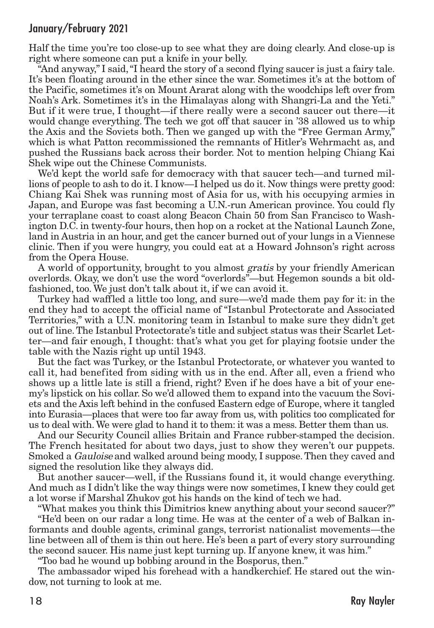Half the time you're too close-up to see what they are doing clearly. And close-up is right where someone can put a knife in your belly.

"And anyway," I said,"I heard the story of a second flying saucer is just a fairy tale. It's been floating around in the ether since the war. Sometimes it's at the bottom of the Pacific, sometimes it's on Mount Ararat along with the woodchips left over from Noah's Ark. Sometimes it's in the Himalayas along with Shangri-La and the Yeti." But if it were true, I thought—if there really were a second saucer out there—it would change everything. The tech we got off that saucer in '38 allowed us to whip the Axis and the Soviets both. Then we ganged up with the "Free German Army," which is what Patton recommissioned the remnants of Hitler's Wehrmacht as, and pushed the Russians back across their border. Not to mention helping Chiang Kai Shek wipe out the Chinese Communists.

We'd kept the world safe for democracy with that saucer tech—and turned millions of people to ash to do it. I know—I helped us do it. Now things were pretty good: Chiang Kai Shek was running most of Asia for us, with his occupying armies in Japan, and Europe was fast becoming a U.N.-run American province. You could fly your terraplane coast to coast along Beacon Chain 50 from San Francisco to Washington D.C. in twenty-four hours, then hop on a rocket at the National Launch Zone, land in Austria in an hour, and get the cancer burned out of your lungs in a Viennese clinic. Then if you were hungry, you could eat at a Howard Johnson's right across from the Opera House.

A world of opportunity, brought to you almost gratis by your friendly American overlords. Okay, we don't use the word "overlords"—but Hegemon sounds a bit oldfashioned, too. We just don't talk about it, if we can avoid it.

Turkey had waffled a little too long, and sure—we'd made them pay for it: in the end they had to accept the official name of "Istanbul Protectorate and Associated Territories," with a U.N. monitoring team in Istanbul to make sure they didn't get out of line.The Istanbul Protectorate's title and subject status was their Scarlet Letter—and fair enough, I thought: that's what you get for playing footsie under the table with the Nazis right up until 1943.

But the fact was Turkey, or the Istanbul Protectorate, or whatever you wanted to call it, had benefited from siding with us in the end. After all, even a friend who shows up a little late is still a friend, right? Even if he does have a bit of your enemy's lipstick on his collar. So we'd allowed them to expand into the vacuum the Soviets and the Axis left behind in the confused Eastern edge of Europe, where it tangled into Eurasia—places that were too far away from us, with politics too complicated for us to deal with.We were glad to hand it to them: it was a mess. Better them than us.

And our Security Council allies Britain and France rubber-stamped the decision. The French hesitated for about two days, just to show they weren't our puppets. Smoked a *Gauloise* and walked around being moody, I suppose. Then they caved and signed the resolution like they always did.

But another saucer—well, if the Russians found it, it would change everything. And much as I didn't like the way things were now sometimes, I knew they could get a lot worse if Marshal Zhukov got his hands on the kind of tech we had.

"What makes you think this Dimitrios knew anything about your second saucer?"

"He'd been on our radar a long time. He was at the center of a web of Balkan informants and double agents, criminal gangs, terrorist nationalist movements—the line between all of them is thin out here. He's been a part of every story surrounding the second saucer. His name just kept turning up. If anyone knew, it was him."

"Too bad he wound up bobbing around in the Bosporus, then."

The ambassador wiped his forehead with a handkerchief. He stared out the window, not turning to look at me.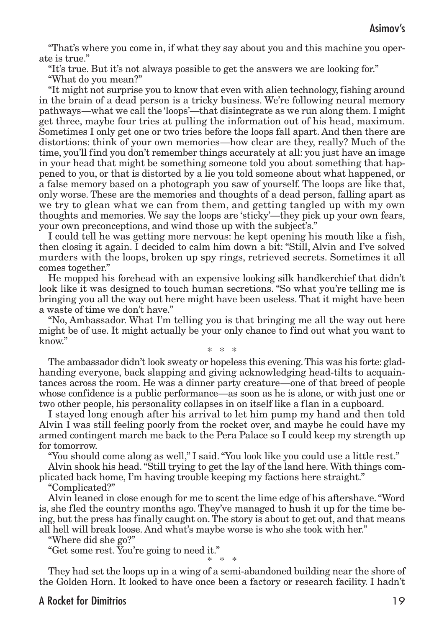"That's where you come in, if what they say about you and this machine you operate is true."

"It's true. But it's not always possible to get the answers we are looking for."

"What do you mean?"

"It might not surprise you to know that even with alien technology, fishing around in the brain of a dead person is a tricky business. We're following neural memory pathways—what we call the 'loops'—that disintegrate as we run along them. I might get three, maybe four tries at pulling the information out of his head, maximum. Sometimes I only get one or two tries before the loops fall apart. And then there are distortions: think of your own memories—how clear are they, really? Much of the time, you'll find you don't remember things accurately at all: you just have an image in your head that might be something someone told you about something that happened to you, or that is distorted by a lie you told someone about what happened, or a false memory based on a photograph you saw of yourself. The loops are like that, only worse. These are the memories and thoughts of a dead person, falling apart as we try to glean what we can from them, and getting tangled up with my own thoughts and memories. We say the loops are 'sticky'—they pick up your own fears, your own preconceptions, and wind those up with the subject's."

I could tell he was getting more nervous: he kept opening his mouth like a fish, then closing it again. I decided to calm him down a bit: "Still, Alvin and I've solved murders with the loops, broken up spy rings, retrieved secrets. Sometimes it all comes together."

He mopped his forehead with an expensive looking silk handkerchief that didn't look like it was designed to touch human secretions. "So what you're telling me is bringing you all the way out here might have been useless. That it might have been a waste of time we don't have."

"No, Ambassador. What I'm telling you is that bringing me all the way out here might be of use. It might actually be your only chance to find out what you want to know" \* \* \*

The ambassador didn't look sweaty or hopeless this evening.This was his forte: gladhanding everyone, back slapping and giving acknowledging head-tilts to acquaintances across the room. He was a dinner party creature—one of that breed of people whose confidence is a public performance—as soon as he is alone, or with just one or two other people, his personality collapses in on itself like a flan in a cupboard.

I stayed long enough after his arrival to let him pump my hand and then told Alvin I was still feeling poorly from the rocket over, and maybe he could have my armed contingent march me back to the Pera Palace so I could keep my strength up for tomorrow.

"You should come along as well," I said."You look like you could use a little rest."

Alvin shook his head."Still trying to get the lay of the land here.With things complicated back home, I'm having trouble keeping my factions here straight."

"Complicated?"

Alvin leaned in close enough for me to scent the lime edge of his aftershave."Word is, she fled the country months ago. They've managed to hush it up for the time being, but the press has finally caught on.The story is about to get out, and that means all hell will break loose. And what's maybe worse is who she took with her."

"Where did she go?"

"Get some rest. You're going to need it."

\* \* \*

They had set the loops up in a wing of a semi-abandoned building near the shore of the Golden Horn. It looked to have once been a factory or research facility. I hadn't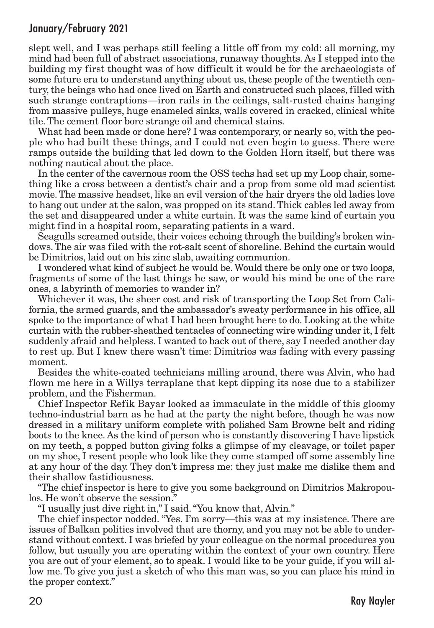slept well, and I was perhaps still feeling a little off from my cold: all morning, my mind had been full of abstract associations, runaway thoughts. As I stepped into the building my first thought was of how difficult it would be for the archaeologists of some future era to understand anything about us, these people of the twentieth century, the beings who had once lived on Earth and constructed such places, filled with such strange contraptions—iron rails in the ceilings, salt-rusted chains hanging from massive pulleys, huge enameled sinks, walls covered in cracked, clinical white tile. The cement floor bore strange oil and chemical stains.

What had been made or done here? I was contemporary, or nearly so, with the people who had built these things, and I could not even begin to guess. There were ramps outside the building that led down to the Golden Horn itself, but there was nothing nautical about the place.

In the center of the cavernous room the OSS techs had set up my Loop chair, something like a cross between a dentist's chair and a prop from some old mad scientist movie.The massive headset, like an evil version of the hair dryers the old ladies love to hang out under at the salon, was propped on its stand.Thick cables led away from the set and disappeared under a white curtain. It was the same kind of curtain you might find in a hospital room, separating patients in a ward.

Seagulls screamed outside, their voices echoing through the building's broken windows.The air was filed with the rot-salt scent of shoreline. Behind the curtain would be Dimitrios, laid out on his zinc slab, awaiting communion.

I wondered what kind of subject he would be.Would there be only one or two loops, fragments of some of the last things he saw, or would his mind be one of the rare ones, a labyrinth of memories to wander in?

Whichever it was, the sheer cost and risk of transporting the Loop Set from California, the armed guards, and the ambassador's sweaty performance in his office, all spoke to the importance of what I had been brought here to do. Looking at the white curtain with the rubber-sheathed tentacles of connecting wire winding under it, I felt suddenly afraid and helpless. I wanted to back out of there, say I needed another day to rest up. But I knew there wasn't time: Dimitrios was fading with every passing moment.

Besides the white-coated technicians milling around, there was Alvin, who had flown me here in a Willys terraplane that kept dipping its nose due to a stabilizer problem, and the Fisherman.

Chief Inspector Refik Bayar looked as immaculate in the middle of this gloomy techno-industrial barn as he had at the party the night before, though he was now dressed in a military uniform complete with polished Sam Browne belt and riding boots to the knee. As the kind of person who is constantly discovering I have lipstick on my teeth, a popped button giving folks a glimpse of my cleavage, or toilet paper on my shoe, I resent people who look like they come stamped off some assembly line at any hour of the day. They don't impress me: they just make me dislike them and their shallow fastidiousness.

"The chief inspector is here to give you some background on Dimitrios Makropoulos. He won't observe the session."

"I usually just dive right in," I said."You know that, Alvin."

The chief inspector nodded. "Yes. I'm sorry—this was at my insistence. There are issues of Balkan politics involved that are thorny, and you may not be able to understand without context. I was briefed by your colleague on the normal procedures you follow, but usually you are operating within the context of your own country. Here you are out of your element, so to speak. I would like to be your guide, if you will allow me. To give you just a sketch of who this man was, so you can place his mind in the proper context."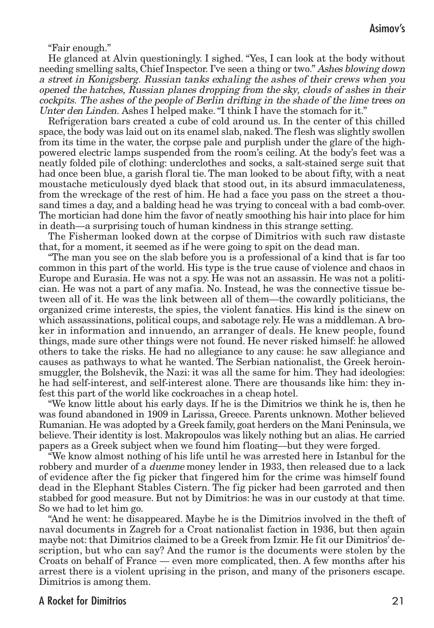"Fair enough."

He glanced at Alvin questioningly. I sighed. "Yes, I can look at the body without needing smelling salts, Chief Inspector. I've seen a thing or two." Ashes blowing down <sup>a</sup> street in Konigsberg. Russian tanks exhaling the ashes of their crews when you opened the hatches, Russian planes dropping from the sky, clouds of ashes in their cockpits. The ashes of the people of Berlin drifting in the shade of the lime trees on Unter den Linden. Ashes I helped make."I think I have the stomach for it."

Refrigeration bars created a cube of cold around us. In the center of this chilled space, the body was laid out on its enamel slab, naked. The flesh was slightly swollen from its time in the water, the corpse pale and purplish under the glare of the highpowered electric lamps suspended from the room's ceiling. At the body's feet was a neatly folded pile of clothing: underclothes and socks, a salt-stained serge suit that had once been blue, a garish floral tie. The man looked to be about fifty, with a neat moustache meticulously dyed black that stood out, in its absurd immaculateness, from the wreckage of the rest of him. He had a face you pass on the street a thousand times a day, and a balding head he was trying to conceal with a bad comb-over. The mortician had done him the favor of neatly smoothing his hair into place for him in death—a surprising touch of human kindness in this strange setting.

The Fisherman looked down at the corpse of Dimitrios with such raw distaste that, for a moment, it seemed as if he were going to spit on the dead man.

"The man you see on the slab before you is a professional of a kind that is far too common in this part of the world. His type is the true cause of violence and chaos in Europe and Eurasia. He was not a spy. He was not an assassin. He was not a politician. He was not a part of any mafia. No. Instead, he was the connective tissue between all of it. He was the link between all of them—the cowardly politicians, the organized crime interests, the spies, the violent fanatics. His kind is the sinew on which assassinations, political coups, and sabotage rely. He was a middleman. A broker in information and innuendo, an arranger of deals. He knew people, found things, made sure other things were not found. He never risked himself: he allowed others to take the risks. He had no allegiance to any cause: he saw allegiance and causes as pathways to what he wanted. The Serbian nationalist, the Greek heroinsmuggler, the Bolshevik, the Nazi: it was all the same for him. They had ideologies: he had self-interest, and self-interest alone. There are thousands like him: they infest this part of the world like cockroaches in a cheap hotel.

"We know little about his early days. If he is the Dimitrios we think he is, then he was found abandoned in 1909 in Larissa, Greece. Parents unknown. Mother believed Rumanian. He was adopted by a Greek family, goat herders on the Mani Peninsula, we believe.Their identity is lost. Makropoulos was likely nothing but an alias. He carried papers as a Greek subject when we found him floating—but they were forged.

"We know almost nothing of his life until he was arrested here in Istanbul for the robbery and murder of a *duenme* money lender in 1933, then released due to a lack of evidence after the fig picker that fingered him for the crime was himself found dead in the Elephant Stables Cistern. The fig picker had been garroted and then stabbed for good measure. But not by Dimitrios: he was in our custody at that time. So we had to let him go.

"And he went: he disappeared. Maybe he is the Dimitrios involved in the theft of naval documents in Zagreb for a Croat nationalist faction in 1936, but then again maybe not: that Dimitrios claimed to be a Greek from Izmir. He fit our Dimitrios' description, but who can say? And the rumor is the documents were stolen by the Croats on behalf of France — even more complicated, then. A few months after his arrest there is a violent uprising in the prison, and many of the prisoners escape. Dimitrios is among them.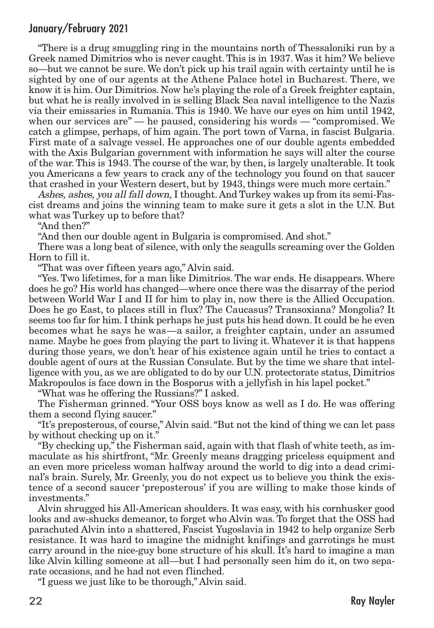"There is a drug smuggling ring in the mountains north of Thessaloniki run by a Greek named Dimitrios who is never caught.This is in 1937.Was it him? We believe so—but we cannot be sure. We don't pick up his trail again with certainty until he is sighted by one of our agents at the Athene Palace hotel in Bucharest. There, we know it is him. Our Dimitrios. Now he's playing the role of a Greek freighter captain, but what he is really involved in is selling Black Sea naval intelligence to the Nazis via their emissaries in Rumania. This is 1940. We have our eyes on him until 1942, when our services are" — he paused, considering his words — "compromised. We catch a glimpse, perhaps, of him again. The port town of Varna, in fascist Bulgaria. First mate of a salvage vessel. He approaches one of our double agents embedded with the Axis Bulgarian government with information he says will alter the course of the war.This is 1943.The course of the war, by then, is largely unalterable. It took you Americans a few years to crack any of the technology you found on that saucer that crashed in your Western desert, but by 1943, things were much more certain."

Ashes, ashes, you all fall down, I thought. And Turkey wakes up from its semi-Fascist dreams and joins the winning team to make sure it gets a slot in the U.N. But what was Turkey up to before that?

"And then?"

"And then our double agent in Bulgaria is compromised. And shot."

There was a long beat of silence, with only the seagulls screaming over the Golden Horn to fill it.

"That was over fifteen years ago," Alvin said.

"Yes. Two lifetimes, for a man like Dimitrios. The war ends. He disappears. Where does he go? His world has changed—where once there was the disarray of the period between World War I and II for him to play in, now there is the Allied Occupation. Does he go East, to places still in flux? The Caucasus? Transoxiana? Mongolia? It seems too far for him. I think perhaps he just puts his head down. It could be he even becomes what he says he was—a sailor, a freighter captain, under an assumed name. Maybe he goes from playing the part to living it. Whatever it is that happens during those years, we don't hear of his existence again until he tries to contact a double agent of ours at the Russian Consulate. But by the time we share that intelligence with you, as we are obligated to do by our U.N. protectorate status, Dimitrios Makropoulos is face down in the Bosporus with a jellyfish in his lapel pocket."

"What was he offering the Russians?" I asked.

The Fisherman grinned. "Your OSS boys know as well as I do. He was offering them a second flying saucer."

"It's preposterous, of course," Alvin said."But not the kind of thing we can let pass by without checking up on it."

"By checking up," the Fisherman said, again with that flash of white teeth, as immaculate as his shirtfront, "Mr. Greenly means dragging priceless equipment and an even more priceless woman halfway around the world to dig into a dead criminal's brain. Surely, Mr. Greenly, you do not expect us to believe you think the existence of a second saucer 'preposterous' if you are willing to make those kinds of investments."

Alvin shrugged his All-American shoulders. It was easy, with his cornhusker good looks and aw-shucks demeanor, to forget who Alvin was. To forget that the OSS had parachuted Alvin into a shattered, Fascist Yugoslavia in 1942 to help organize Serb resistance. It was hard to imagine the midnight knifings and garrotings he must carry around in the nice-guy bone structure of his skull. It's hard to imagine a man like Alvin killing someone at all—but I had personally seen him do it, on two separate occasions, and he had not even flinched.

"I guess we just like to be thorough," Alvin said.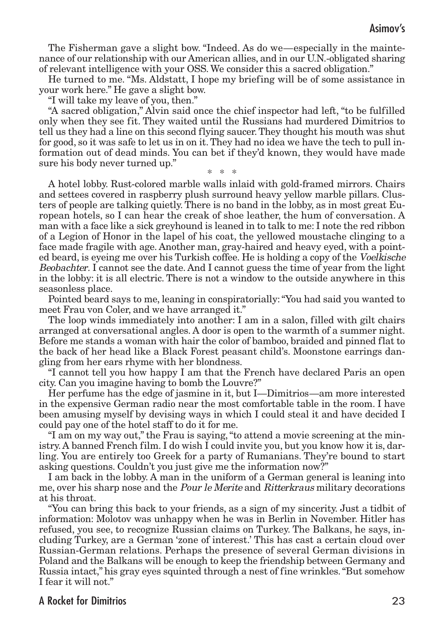The Fisherman gave a slight bow. "Indeed. As do we—especially in the maintenance of our relationship with our American allies, and in our U.N.-obligated sharing of relevant intelligence with your OSS. We consider this a sacred obligation."

He turned to me. "Ms. Aldstatt, I hope my briefing will be of some assistance in your work here." He gave a slight bow.

"I will take my leave of you, then."

"A sacred obligation," Alvin said once the chief inspector had left, "to be fulfilled only when they see fit. They waited until the Russians had murdered Dimitrios to tell us they had a line on this second flying saucer.They thought his mouth was shut for good, so it was safe to let us in on it.They had no idea we have the tech to pull information out of dead minds. You can bet if they'd known, they would have made sure his body never turned up." \* \* \*

A hotel lobby. Rust-colored marble walls inlaid with gold-framed mirrors. Chairs and settees covered in raspberry plush surround heavy yellow marble pillars. Clusters of people are talking quietly. There is no band in the lobby, as in most great European hotels, so I can hear the creak of shoe leather, the hum of conversation. A man with a face like a sick greyhound is leaned in to talk to me: I note the red ribbon of a Legion of Honor in the lapel of his coat, the yellowed moustache clinging to a face made fragile with age. Another man, gray-haired and heavy eyed, with a pointed beard, is eyeing me over his Turkish coffee. He is holding a copy of the Voelkische Beobachter. I cannot see the date. And I cannot guess the time of year from the light in the lobby: it is all electric. There is not a window to the outside anywhere in this seasonless place.

Pointed beard says to me, leaning in conspiratorially:"You had said you wanted to meet Frau von Coler, and we have arranged it."

The loop winds immediately into another: I am in a salon, filled with gilt chairs arranged at conversational angles. A door is open to the warmth of a summer night. Before me stands a woman with hair the color of bamboo, braided and pinned flat to the back of her head like a Black Forest peasant child's. Moonstone earrings dangling from her ears rhyme with her blondness.

"I cannot tell you how happy I am that the French have declared Paris an open city. Can you imagine having to bomb the Louvre?"

Her perfume has the edge of jasmine in it, but I—Dimitrios—am more interested in the expensive German radio near the most comfortable table in the room. I have been amusing myself by devising ways in which I could steal it and have decided I could pay one of the hotel staff to do it for me.

"I am on my way out," the Frau is saying,"to attend a movie screening at the ministry. A banned French film. I do wish I could invite you, but you know how it is, darling. You are entirely too Greek for a party of Rumanians. They're bound to start asking questions. Couldn't you just give me the information now?"

I am back in the lobby. A man in the uniform of a German general is leaning into me, over his sharp nose and the *Pour le Merite* and *Ritterkraus* military decorations at his throat.

"You can bring this back to your friends, as a sign of my sincerity. Just a tidbit of information: Molotov was unhappy when he was in Berlin in November. Hitler has refused, you see, to recognize Russian claims on Turkey. The Balkans, he says, including Turkey, are a German 'zone of interest.' This has cast a certain cloud over Russian-German relations. Perhaps the presence of several German divisions in Poland and the Balkans will be enough to keep the friendship between Germany and Russia intact," his gray eyes squinted through a nest of fine wrinkles."But somehow I fear it will not."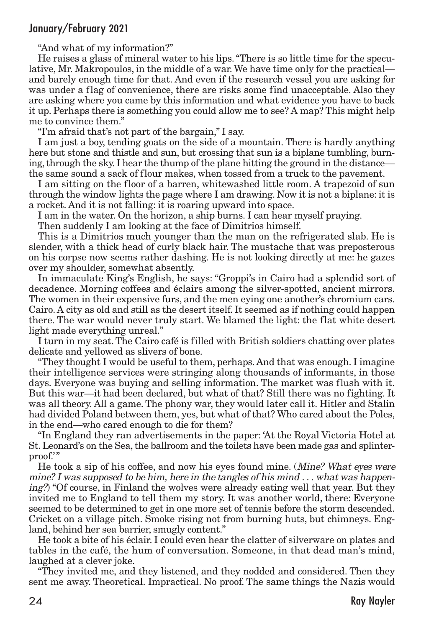"And what of my information?"

He raises a glass of mineral water to his lips."There is so little time for the speculative, Mr. Makropoulos, in the middle of a war.We have time only for the practical and barely enough time for that. And even if the research vessel you are asking for was under a flag of convenience, there are risks some find unacceptable. Also they are asking where you came by this information and what evidence you have to back it up. Perhaps there is something you could allow me to see? A map? This might help me to convince them."

"I'm afraid that's not part of the bargain," I say.

I am just a boy, tending goats on the side of a mountain. There is hardly anything here but stone and thistle and sun, but crossing that sun is a biplane tumbling, burning, through the sky. I hear the thump of the plane hitting the ground in the distance the same sound a sack of flour makes, when tossed from a truck to the pavement.

I am sitting on the floor of a barren, whitewashed little room. A trapezoid of sun through the window lights the page where I am drawing. Now it is not a biplane: it is a rocket. And it is not falling: it is roaring upward into space.

I am in the water. On the horizon, a ship burns. I can hear myself praying.

Then suddenly I am looking at the face of Dimitrios himself.

This is a Dimitrios much younger than the man on the refrigerated slab. He is slender, with a thick head of curly black hair. The mustache that was preposterous on his corpse now seems rather dashing. He is not looking directly at me: he gazes over my shoulder, somewhat absently.

In immaculate King's English, he says: "Groppi's in Cairo had a splendid sort of decadence. Morning coffees and éclairs among the silver-spotted, ancient mirrors. The women in their expensive furs, and the men eying one another's chromium cars. Cairo. A city as old and still as the desert itself. It seemed as if nothing could happen there. The war would never truly start. We blamed the light: the flat white desert light made everything unreal."

I turn in my seat.The Cairo café is filled with British soldiers chatting over plates delicate and yellowed as slivers of bone.

"They thought I would be useful to them, perhaps. And that was enough. I imagine their intelligence services were stringing along thousands of informants, in those days. Everyone was buying and selling information. The market was flush with it. But this war—it had been declared, but what of that? Still there was no fighting. It was all theory. All a game. The phony war, they would later call it. Hitler and Stalin had divided Poland between them, yes, but what of that? Who cared about the Poles, in the end—who cared enough to die for them?

"In England they ran advertisements in the paper: 'At the Royal Victoria Hotel at St. Leonard's on the Sea, the ballroom and the toilets have been made gas and splinterproof.'"

He took a sip of his coffee, and now his eyes found mine. (Mine? What eyes were mine? I was supposed to be him, here in the tangles of his mind  $\dots$  what was happening?) "Of course, in Finland the wolves were already eating well that year. But they invited me to England to tell them my story. It was another world, there: Everyone seemed to be determined to get in one more set of tennis before the storm descended. Cricket on a village pitch. Smoke rising not from burning huts, but chimneys. England, behind her sea barrier, smugly content."

He took a bite of his éclair. I could even hear the clatter of silverware on plates and tables in the café, the hum of conversation. Someone, in that dead man's mind, laughed at a clever joke.

"They invited me, and they listened, and they nodded and considered. Then they sent me away. Theoretical. Impractical. No proof. The same things the Nazis would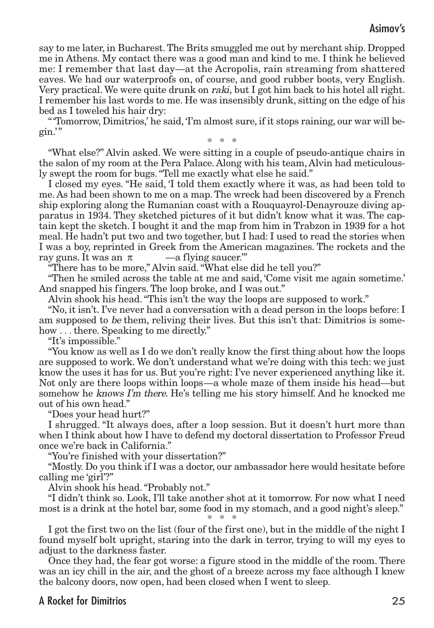say to me later, in Bucharest.The Brits smuggled me out by merchant ship. Dropped me in Athens. My contact there was a good man and kind to me. I think he believed me: I remember that last day—at the Acropolis, rain streaming from shattered eaves. We had our waterproofs on, of course, and good rubber boots, very English. Very practical. We were quite drunk on *raki*, but I got him back to his hotel all right. I remember his last words to me. He was insensibly drunk, sitting on the edge of his bed as I toweled his hair dry:

"'Tomorrow, Dimitrios,' he said, 'I'm almost sure, if it stops raining, our war will begin.'" \* \* \*

"What else?" Alvin asked. We were sitting in a couple of pseudo-antique chairs in the salon of my room at the Pera Palace. Along with his team, Alvin had meticulously swept the room for bugs."Tell me exactly what else he said."

I closed my eyes. "He said, 'I told them exactly where it was, as had been told to me. As had been shown to me on a map.The wreck had been discovered by a French ship exploring along the Rumanian coast with a Rouquayrol-Denayrouze diving apparatus in 1934. They sketched pictures of it but didn't know what it was. The captain kept the sketch. I bought it and the map from him in Trabzon in 1939 for a hot meal. He hadn't put two and two together, but I had: I used to read the stories when I was a boy, reprinted in Greek from the American magazines. The rockets and the ray guns. It was an  $\pi$  —a flying saucer."

"There has to be more," Alvin said."What else did he tell you?"

"Then he smiled across the table at me and said, 'Come visit me again sometime.' And snapped his fingers. The loop broke, and I was out."

Alvin shook his head."This isn't the way the loops are supposed to work."

"No, it isn't. I've never had a conversation with a dead person in the loops before: I am supposed to be them, reliving their lives. But this isn't that: Dimitrios is somehow ... there. Speaking to me directly."

"It's impossible."

"You know as well as I do we don't really know the first thing about how the loops are supposed to work. We don't understand what we're doing with this tech: we just know the uses it has for us. But you're right: I've never experienced anything like it. Not only are there loops within loops—a whole maze of them inside his head—but somehow he knows I'm there. He's telling me his story himself. And he knocked me out of his own head."

"Does your head hurt?"

I shrugged. "It always does, after a loop session. But it doesn't hurt more than when I think about how I have to defend my doctoral dissertation to Professor Freud once we're back in California."

"You're finished with your dissertation?"

"Mostly. Do you think if I was a doctor, our ambassador here would hesitate before calling me 'girl'?"

Alvin shook his head."Probably not."

"I didn't think so. Look, I'll take another shot at it tomorrow. For now what I need most is a drink at the hotel bar, some food in my stomach, and a good night's sleep." \* \* \*

I got the first two on the list (four of the first one), but in the middle of the night I found myself bolt upright, staring into the dark in terror, trying to will my eyes to adjust to the darkness faster.

Once they had, the fear got worse: a figure stood in the middle of the room. There was an icy chill in the air, and the ghost of a breeze across my face although I knew the balcony doors, now open, had been closed when I went to sleep.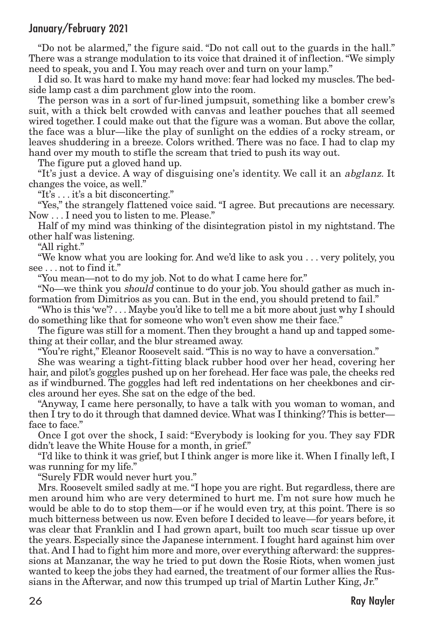"Do not be alarmed," the figure said. "Do not call out to the guards in the hall." There was a strange modulation to its voice that drained it of inflection."We simply need to speak, you and I. You may reach over and turn on your lamp."

I did so. It was hard to make my hand move: fear had locked my muscles.The bedside lamp cast a dim parchment glow into the room.

The person was in a sort of fur-lined jumpsuit, something like a bomber crew's suit, with a thick belt crowded with canvas and leather pouches that all seemed wired together. I could make out that the figure was a woman. But above the collar, the face was a blur—like the play of sunlight on the eddies of a rocky stream, or leaves shuddering in a breeze. Colors writhed. There was no face. I had to clap my hand over my mouth to stifle the scream that tried to push its way out.

The figure put a gloved hand up.

"It's just a device. A way of disguising one's identity. We call it an abglanz. It changes the voice, as well."

"It's . . . it's a bit disconcerting."

"Yes," the strangely flattened voice said. "I agree. But precautions are necessary. Now . . . I need you to listen to me. Please."

Half of my mind was thinking of the disintegration pistol in my nightstand. The other half was listening.

"All right."

"We know what you are looking for. And we'd like to ask you . . . very politely, you see . . . not to find it."

"You mean—not to do my job. Not to do what I came here for."

"No—we think you should continue to do your job. You should gather as much information from Dimitrios as you can. But in the end, you should pretend to fail."

"Who is this 'we'? . . . Maybe you'd like to tell me a bit more about just why I should do something like that for someone who won't even show me their face."

The figure was still for a moment.Then they brought a hand up and tapped something at their collar, and the blur streamed away.

"You're right," Eleanor Roosevelt said."This is no way to have a conversation."

She was wearing a tight-fitting black rubber hood over her head, covering her hair, and pilot's goggles pushed up on her forehead. Her face was pale, the cheeks red as if windburned. The goggles had left red indentations on her cheekbones and circles around her eyes. She sat on the edge of the bed.

"Anyway, I came here personally, to have a talk with you woman to woman, and then I try to do it through that damned device.What was I thinking? This is better face to face."

Once I got over the shock, I said: "Everybody is looking for you. They say FDR didn't leave the White House for a month, in grief."

"I'd like to think it was grief, but I think anger is more like it.When I finally left, I was running for my life."

"Surely FDR would never hurt you."

Mrs. Roosevelt smiled sadly at me."I hope you are right. But regardless, there are men around him who are very determined to hurt me. I'm not sure how much he would be able to do to stop them—or if he would even try, at this point. There is so much bitterness between us now. Even before I decided to leave—for years before, it was clear that Franklin and I had grown apart, built too much scar tissue up over the years. Especially since the Japanese internment. I fought hard against him over that. And I had to fight him more and more, over everything afterward: the suppressions at Manzanar, the way he tried to put down the Rosie Riots, when women just wanted to keep the jobs they had earned, the treatment of our former allies the Russians in the Afterwar, and now this trumped up trial of Martin Luther King, Jr."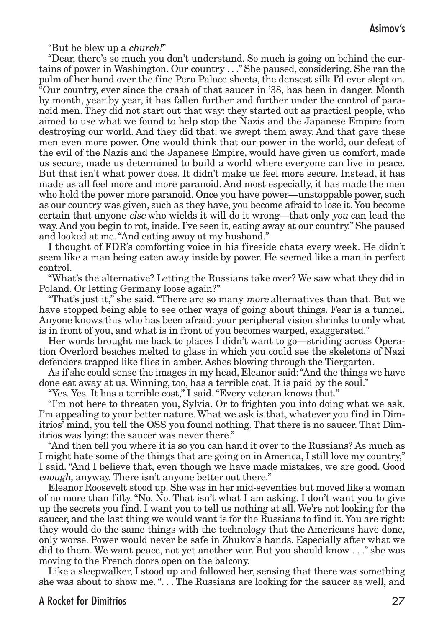"But he blew up a *church!*"

"Dear, there's so much you don't understand. So much is going on behind the curtains of power in Washington. Our country . . ." She paused, considering. She ran the palm of her hand over the fine Pera Palace sheets, the densest silk I'd ever slept on. "Our country, ever since the crash of that saucer in '38, has been in danger. Month by month, year by year, it has fallen further and further under the control of paranoid men. They did not start out that way: they started out as practical people, who aimed to use what we found to help stop the Nazis and the Japanese Empire from destroying our world. And they did that: we swept them away. And that gave these men even more power. One would think that our power in the world, our defeat of the evil of the Nazis and the Japanese Empire, would have given us comfort, made us secure, made us determined to build a world where everyone can live in peace. But that isn't what power does. It didn't make us feel more secure. Instead, it has made us all feel more and more paranoid. And most especially, it has made the men who hold the power more paranoid. Once you have power—unstoppable power, such as our country was given, such as they have, you become afraid to lose it. You become certain that anyone else who wields it will do it wrong—that only you can lead the way.And you begin to rot, inside. I've seen it, eating away at our country." She paused and looked at me."And eating away at my husband."

I thought of FDR's comforting voice in his fireside chats every week. He didn't seem like a man being eaten away inside by power. He seemed like a man in perfect control.

"What's the alternative? Letting the Russians take over? We saw what they did in Poland. Or letting Germany loose again?"

"That's just it," she said. "There are so many more alternatives than that. But we have stopped being able to see other ways of going about things. Fear is a tunnel. Anyone knows this who has been afraid: your peripheral vision shrinks to only what is in front of you, and what is in front of you becomes warped, exaggerated."

Her words brought me back to places I didn't want to go—striding across Operation Overlord beaches melted to glass in which you could see the skeletons of Nazi defenders trapped like flies in amber. Ashes blowing through the Tiergarten.

As if she could sense the images in my head, Eleanor said:"And the things we have done eat away at us. Winning, too, has a terrible cost. It is paid by the soul."

"Yes. Yes. It has a terrible cost," I said."Every veteran knows that."

"I'm not here to threaten you, Sylvia. Or to frighten you into doing what we ask. I'm appealing to your better nature.What we ask is that, whatever you find in Dimitrios' mind, you tell the OSS you found nothing. That there is no saucer. That Dimitrios was lying: the saucer was never there."

"And then tell you where it is so you can hand it over to the Russians? As much as I might hate some of the things that are going on in America, I still love my country," I said. "And I believe that, even though we have made mistakes, we are good. Good enough, anyway. There isn't anyone better out there."

Eleanor Roosevelt stood up. She was in her mid-seventies but moved like a woman of no more than fifty. "No. No. That isn't what I am asking. I don't want you to give up the secrets you find. I want you to tell us nothing at all. We're not looking for the saucer, and the last thing we would want is for the Russians to find it. You are right: they would do the same things with the technology that the Americans have done, only worse. Power would never be safe in Zhukov's hands. Especially after what we did to them. We want peace, not yet another war. But you should know . . ." she was moving to the French doors open on the balcony.

Like a sleepwalker, I stood up and followed her, sensing that there was something she was about to show me.". . . The Russians are looking for the saucer as well, and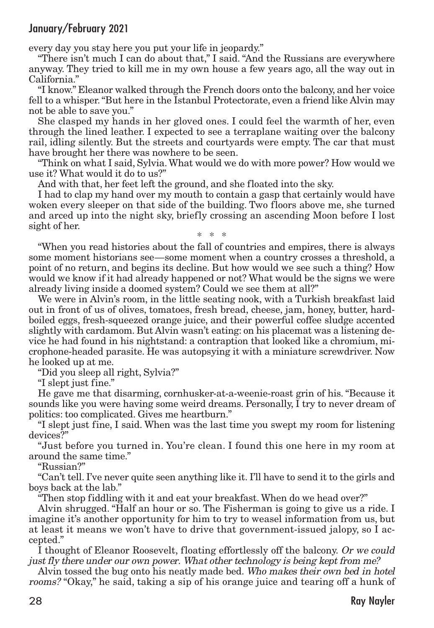every day you stay here you put your life in jeopardy."

"There isn't much I can do about that," I said. "And the Russians are everywhere anyway. They tried to kill me in my own house a few years ago, all the way out in California."

"I know." Eleanor walked through the French doors onto the balcony, and her voice fell to a whisper."But here in the Istanbul Protectorate, even a friend like Alvin may not be able to save you."

She clasped my hands in her gloved ones. I could feel the warmth of her, even through the lined leather. I expected to see a terraplane waiting over the balcony rail, idling silently. But the streets and courtyards were empty. The car that must have brought her there was nowhere to be seen.

"Think on what I said, Sylvia.What would we do with more power? How would we use it? What would it do to us?"

And with that, her feet left the ground, and she floated into the sky.

I had to clap my hand over my mouth to contain a gasp that certainly would have woken every sleeper on that side of the building. Two floors above me, she turned and arced up into the night sky, briefly crossing an ascending Moon before I lost sight of her. \* \* \*

"When you read histories about the fall of countries and empires, there is always some moment historians see—some moment when a country crosses a threshold, a point of no return, and begins its decline. But how would we see such a thing? How would we know if it had already happened or not? What would be the signs we were already living inside a doomed system? Could we see them at all?"

We were in Alvin's room, in the little seating nook, with a Turkish breakfast laid out in front of us of olives, tomatoes, fresh bread, cheese, jam, honey, butter, hardboiled eggs, fresh-squeezed orange juice, and their powerful coffee sludge accented slightly with cardamom. But Alvin wasn't eating: on his placemat was a listening device he had found in his nightstand: a contraption that looked like a chromium, microphone-headed parasite. He was autopsying it with a miniature screwdriver. Now he looked up at me.

"Did you sleep all right, Sylvia?"

"I slept just fine."

He gave me that disarming, cornhusker-at-a-weenie-roast grin of his. "Because it sounds like you were having some weird dreams. Personally, I try to never dream of politics: too complicated. Gives me heartburn."

"I slept just fine, I said. When was the last time you swept my room for listening devices?"

"Just before you turned in. You're clean. I found this one here in my room at around the same time."

"Russian?"

"Can't tell. I've never quite seen anything like it. I'll have to send it to the girls and boys back at the lab."

"Then stop fiddling with it and eat your breakfast. When do we head over?"

Alvin shrugged. "Half an hour or so. The Fisherman is going to give us a ride. I imagine it's another opportunity for him to try to weasel information from us, but at least it means we won't have to drive that government-issued jalopy, so I accepted."

I thought of Eleanor Roosevelt, floating effortlessly off the balcony. Or we could just fly there under our own power. What other technology is being kept from me?

Alvin tossed the bug onto his neatly made bed. Who makes their own bed in hotel rooms? "Okay," he said, taking a sip of his orange juice and tearing off a hunk of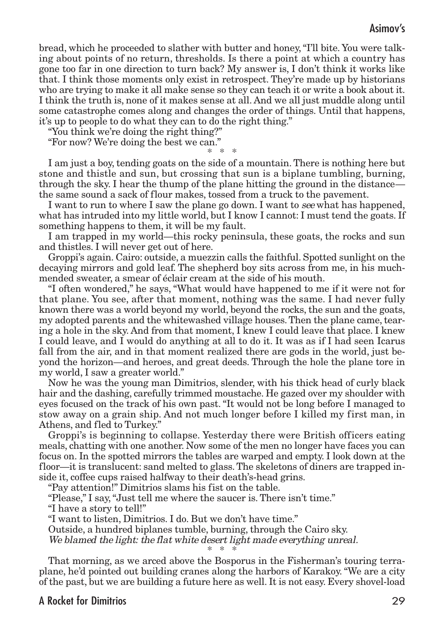## Asimov's

bread, which he proceeded to slather with butter and honey,"I'll bite. You were talking about points of no return, thresholds. Is there a point at which a country has gone too far in one direction to turn back? My answer is, I don't think it works like that. I think those moments only exist in retrospect. They're made up by historians who are trying to make it all make sense so they can teach it or write a book about it. I think the truth is, none of it makes sense at all. And we all just muddle along until some catastrophe comes along and changes the order of things. Until that happens, it's up to people to do what they can to do the right thing."

"You think we're doing the right thing?"

"For now? We're doing the best we can."

\* \* \* I am just a boy, tending goats on the side of a mountain. There is nothing here but stone and thistle and sun, but crossing that sun is a biplane tumbling, burning, through the sky. I hear the thump of the plane hitting the ground in the distance the same sound a sack of flour makes, tossed from a truck to the pavement.

I want to run to where I saw the plane go down. I want to see what has happened, what has intruded into my little world, but I know I cannot: I must tend the goats. If something happens to them, it will be my fault.

I am trapped in my world—this rocky peninsula, these goats, the rocks and sun and thistles. I will never get out of here.

Groppi's again. Cairo: outside, a muezzin calls the faithful. Spotted sunlight on the decaying mirrors and gold leaf. The shepherd boy sits across from me, in his muchmended sweater, a smear of éclair cream at the side of his mouth.

"I often wondered," he says, "What would have happened to me if it were not for that plane. You see, after that moment, nothing was the same. I had never fully known there was a world beyond my world, beyond the rocks, the sun and the goats, my adopted parents and the whitewashed village houses. Then the plane came, tearing a hole in the sky. And from that moment, I knew I could leave that place. I knew I could leave, and I would do anything at all to do it. It was as if I had seen Icarus fall from the air, and in that moment realized there are gods in the world, just beyond the horizon—and heroes, and great deeds. Through the hole the plane tore in my world, I saw a greater world."

Now he was the young man Dimitrios, slender, with his thick head of curly black hair and the dashing, carefully trimmed moustache. He gazed over my shoulder with eyes focused on the track of his own past."It would not be long before I managed to stow away on a grain ship. And not much longer before I killed my first man, in Athens, and fled to Turkey."

Groppi's is beginning to collapse. Yesterday there were British officers eating meals, chatting with one another. Now some of the men no longer have faces you can focus on. In the spotted mirrors the tables are warped and empty. I look down at the floor—it is translucent: sand melted to glass.The skeletons of diners are trapped inside it, coffee cups raised halfway to their death's-head grins.

"Pay attention!" Dimitrios slams his fist on the table.

"Please," I say,"Just tell me where the saucer is. There isn't time."

"I have a story to tell!"

"I want to listen, Dimitrios. I do. But we don't have time."

Outside, a hundred biplanes tumble, burning, through the Cairo sky.

We blamed the light: the flat white desert light made everything unreal.

\* \* \*

That morning, as we arced above the Bosporus in the Fisherman's touring terraplane, he'd pointed out building cranes along the harbors of Karakoy."We are a city of the past, but we are building a future here as well. It is not easy. Every shovel-load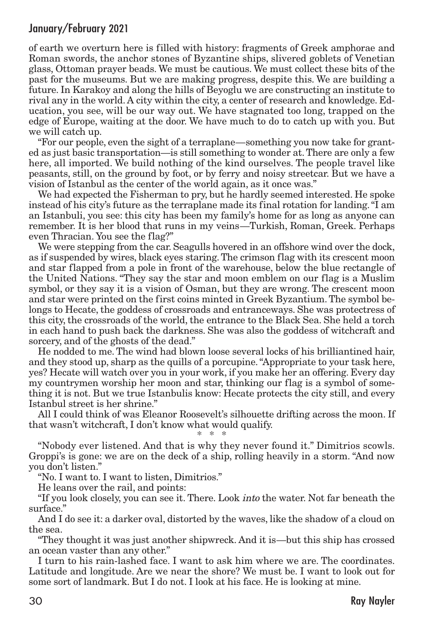of earth we overturn here is filled with history: fragments of Greek amphorae and Roman swords, the anchor stones of Byzantine ships, slivered goblets of Venetian glass, Ottoman prayer beads. We must be cautious. We must collect these bits of the past for the museums. But we are making progress, despite this. We are building a future. In Karakoy and along the hills of Beyoglu we are constructing an institute to rival any in the world. A city within the city, a center of research and knowledge. Education, you see, will be our way out. We have stagnated too long, trapped on the edge of Europe, waiting at the door. We have much to do to catch up with you. But we will catch up.

"For our people, even the sight of a terraplane—something you now take for granted as just basic transportation—is still something to wonder at.There are only a few here, all imported. We build nothing of the kind ourselves. The people travel like peasants, still, on the ground by foot, or by ferry and noisy streetcar. But we have a vision of Istanbul as the center of the world again, as it once was."

We had expected the Fisherman to pry, but he hardly seemed interested. He spoke instead of his city's future as the terraplane made its final rotation for landing."I am an Istanbuli, you see: this city has been my family's home for as long as anyone can remember. It is her blood that runs in my veins—Turkish, Roman, Greek. Perhaps even Thracian. You see the flag?"

We were stepping from the car. Seagulls hovered in an offshore wind over the dock, as if suspended by wires, black eyes staring.The crimson flag with its crescent moon and star flapped from a pole in front of the warehouse, below the blue rectangle of the United Nations. "They say the star and moon emblem on our flag is a Muslim symbol, or they say it is a vision of Osman, but they are wrong. The crescent moon and star were printed on the first coins minted in Greek Byzantium.The symbol belongs to Hecate, the goddess of crossroads and entranceways. She was protectress of this city, the crossroads of the world, the entrance to the Black Sea. She held a torch in each hand to push back the darkness. She was also the goddess of witchcraft and sorcery, and of the ghosts of the dead."

He nodded to me. The wind had blown loose several locks of his brilliantined hair, and they stood up, sharp as the quills of a porcupine."Appropriate to your task here, yes? Hecate will watch over you in your work, if you make her an offering. Every day my countrymen worship her moon and star, thinking our flag is a symbol of something it is not. But we true Istanbulis know: Hecate protects the city still, and every Istanbul street is her shrine."

All I could think of was Eleanor Roosevelt's silhouette drifting across the moon. If that wasn't witchcraft, I don't know what would qualify.

\* \* \*

"Nobody ever listened. And that is why they never found it." Dimitrios scowls. Groppi's is gone: we are on the deck of a ship, rolling heavily in a storm. "And now you don't listen."

"No. I want to. I want to listen, Dimitrios."

He leans over the rail, and points:

"If you look closely, you can see it. There. Look into the water. Not far beneath the surface."

And I do see it: a darker oval, distorted by the waves, like the shadow of a cloud on the sea.

"They thought it was just another shipwreck. And it is—but this ship has crossed an ocean vaster than any other."

I turn to his rain-lashed face. I want to ask him where we are. The coordinates. Latitude and longitude. Are we near the shore? We must be. I want to look out for some sort of landmark. But I do not. I look at his face. He is looking at mine.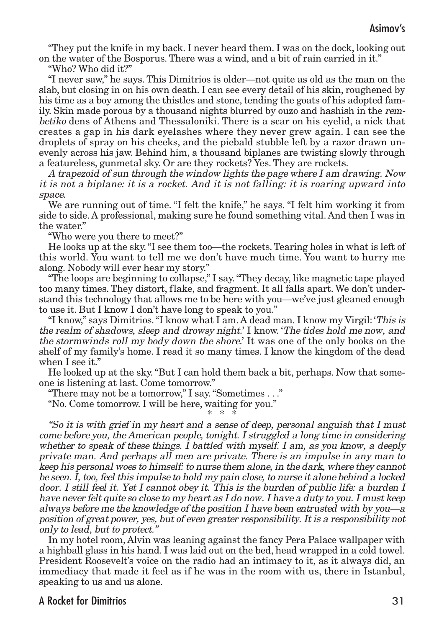"They put the knife in my back. I never heard them. I was on the dock, looking out on the water of the Bosporus. There was a wind, and a bit of rain carried in it."

"Who? Who did it?"

"I never saw," he says. This Dimitrios is older—not quite as old as the man on the slab, but closing in on his own death. I can see every detail of his skin, roughened by his time as a boy among the thistles and stone, tending the goats of his adopted family. Skin made porous by a thousand nights blurred by ouzo and hashish in the rembetiko dens of Athens and Thessaloniki. There is a scar on his eyelid, a nick that creates a gap in his dark eyelashes where they never grew again. I can see the droplets of spray on his cheeks, and the piebald stubble left by a razor drawn unevenly across his jaw. Behind him, a thousand biplanes are twisting slowly through a featureless, gunmetal sky. Or are they rockets? Yes. They are rockets.

A trapezoid of sun through the window lights the page where I am drawing. Now it is not <sup>a</sup> biplane: it is <sup>a</sup> rocket. And it is not falling: it is roaring upward into space.

We are running out of time. "I felt the knife," he says. "I felt him working it from side to side. A professional, making sure he found something vital. And then I was in the water."

"Who were you there to meet?"

He looks up at the sky."I see them too—the rockets.Tearing holes in what is left of this world. You want to tell me we don't have much time. You want to hurry me along. Nobody will ever hear my story."

"The loops are beginning to collapse," I say."They decay, like magnetic tape played too many times. They distort, flake, and fragment. It all falls apart. We don't understand this technology that allows me to be here with you—we've just gleaned enough to use it. But I know I don't have long to speak to you."

"I know," says Dimitrios."I know what I am. A dead man. I know my Virgil: 'This is the realm of shadows, sleep and drowsy night.' I know. 'The tides hold me now, and the stormwinds roll my body down the shore.' It was one of the only books on the shelf of my family's home. I read it so many times. I know the kingdom of the dead when I see it."

He looked up at the sky."But I can hold them back a bit, perhaps. Now that someone is listening at last. Come tomorrow."

"There may not be a tomorrow," I say."Sometimes . . ."

"No. Come tomorrow. I will be here, waiting for you."

\* \* \*

"So it is with grief in my heart and <sup>a</sup> sense of deep, personal anguish that I must come before you, the American people, tonight. I struggled <sup>a</sup> long time in considering whether to speak of these things. I battled with myself. I am, as you know, <sup>a</sup> deeply private man. And perhaps all men are private. There is an impulse in any man to keep his personal woes to himself: to nurse them alone, in the dark, where they cannot be seen. I, too, feel this impulse to hold my pain close, to nurse it alone behind <sup>a</sup> locked door. I still feel it. Yet I cannot obey it. This is the burden of public life: <sup>a</sup> burden I have never felt quite so close to my heart as I do now. I have <sup>a</sup> duty to you. I must keep always before me the knowledge of the position I have been entrusted with by you—a position of great power, yes, but of even greater responsibility. Itis <sup>a</sup> responsibility not only to lead, but to protect."

In my hotel room, Alvin was leaning against the fancy Pera Palace wallpaper with a highball glass in his hand. I was laid out on the bed, head wrapped in a cold towel. President Roosevelt's voice on the radio had an intimacy to it, as it always did, an immediacy that made it feel as if he was in the room with us, there in Istanbul, speaking to us and us alone.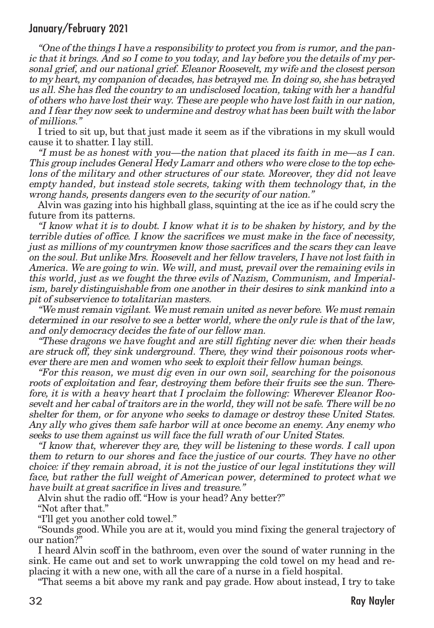"One of the things I have <sup>a</sup> responsibility to protect you from is rumor, and the panic that it brings. And so I come to you today, and lay before you the details of my personal grief, and our national grief. Eleanor Roosevelt, my wife and the closest person to my heart, my companion of decades, has betrayed me. In doing so, she has betrayed us all. She has fled the country to an undisclosed location, taking with her <sup>a</sup> handful of others who have lost their way. These are people who have lost faith in our nation, and I fear they now seek to undermine and destroy what has been built with the labor of millions."

I tried to sit up, but that just made it seem as if the vibrations in my skull would cause it to shatter. I lay still.

"I must be as honest with you—the nation that placed its faith in me—as I can. This group includes General Hedy Lamarr and others who were close to the top echelons of the military and other structures of our state. Moreover, they did not leave empty handed, but instead stole secrets, taking with them technology that, in the wrong hands, presents dangers even to the security of our nation."

Alvin was gazing into his highball glass, squinting at the ice as if he could scry the future from its patterns.

"I know what it is to doubt. I know what it is to be shaken by history, and by the terrible duties of office. I know the sacrifices we must make in the face of necessity, just as millions of my countrymen know those sacrifices and the scars they can leave on the soul. But unlike Mrs. Roosevelt and her fellow travelers, I have notlostfaith in America. We are going to win. We will, and must, prevail over the remaining evils in this world, just as we fought the three evils of Nazism, Communism, and Imperialism, barely distinguishable from one another in their desires to sink mankind into <sup>a</sup> pit of subservience to totalitarian masters.

"We must remain vigilant. We must remain united as never before. We must remain determined in our resolve to see <sup>a</sup> better world, where the only rule is that of the law, and only democracy decides the fate of our fellow man.

"These dragons we have fought and are still fighting never die: when their heads are struck off, they sink underground. There, they wind their poisonous roots wherever there are men and women who seek to exploit their fellow human beings.

"For this reason, we must dig even in our own soil, searching for the poisonous roots of exploitation and fear, destroying them before their fruits see the sun. Therefore, it is with <sup>a</sup> heavy heart that I proclaim the following: Wherever Eleanor Roosevelt and her cabal of traitors are in the world, they will not be safe. There will be no shelter for them, or for anyone who seeks to damage or destroy these United States. Any ally who gives them safe harbor will at once become an enemy. Any enemy who seeks to use them against us will face the full wrath of our United States.

"I know that, wherever they are, they will be listening to these words. I call upon them to return to our shores and face the justice of our courts. They have no other choice: if they remain abroad, it is not the justice of our legal institutions they will face, but rather the full weight of American power, determined to protect what we have built at great sacrifice in lives and treasure."

Alvin shut the radio off."How is your head? Any better?"

"Not after that."

"I'll get you another cold towel."

"Sounds good. While you are at it, would you mind fixing the general trajectory of our nation?"

I heard Alvin scoff in the bathroom, even over the sound of water running in the sink. He came out and set to work unwrapping the cold towel on my head and replacing it with a new one, with all the care of a nurse in a field hospital.

"That seems a bit above my rank and pay grade. How about instead, I try to take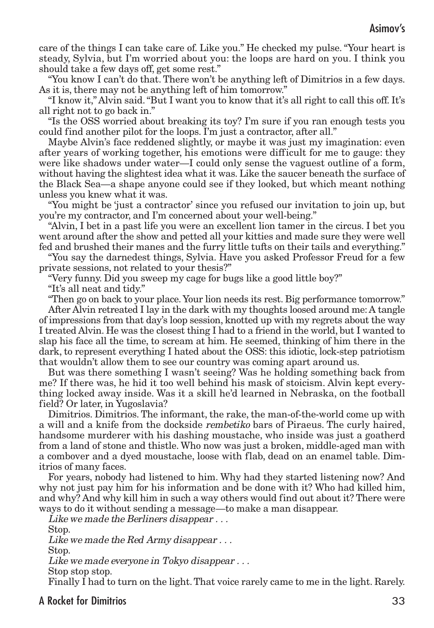care of the things I can take care of. Like you." He checked my pulse. "Your heart is steady, Sylvia, but I'm worried about you: the loops are hard on you. I think you should take a few days off, get some rest."

"You know I can't do that. There won't be anything left of Dimitrios in a few days. As it is, there may not be anything left of him tomorrow."

"I know it," Alvin said."But I want you to know that it's all right to call this off. It's all right not to go back in."

"Is the OSS worried about breaking its toy? I'm sure if you ran enough tests you could find another pilot for the loops. I'm just a contractor, after all."

Maybe Alvin's face reddened slightly, or maybe it was just my imagination: even after years of working together, his emotions were difficult for me to gauge: they were like shadows under water—I could only sense the vaguest outline of a form, without having the slightest idea what it was. Like the saucer beneath the surface of the Black Sea—a shape anyone could see if they looked, but which meant nothing unless you knew what it was.

"You might be 'just a contractor' since you refused our invitation to join up, but you're my contractor, and I'm concerned about your well-being."

"Alvin, I bet in a past life you were an excellent lion tamer in the circus. I bet you went around after the show and petted all your kitties and made sure they were well fed and brushed their manes and the furry little tufts on their tails and everything."

"You say the darnedest things, Sylvia. Have you asked Professor Freud for a few private sessions, not related to your thesis?"

"Very funny. Did you sweep my cage for bugs like a good little boy?"

"It's all neat and tidy."

"Then go on back to your place. Your lion needs its rest. Big performance tomorrow." After Alvin retreated I lay in the dark with my thoughts loosed around me:A tangle of impressions from that day's loop session, knotted up with my regrets about the way I treated Alvin. He was the closest thing I had to a friend in the world, but I wanted to slap his face all the time, to scream at him. He seemed, thinking of him there in the dark, to represent everything I hated about the OSS: this idiotic, lock-step patriotism that wouldn't allow them to see our country was coming apart around us.

But was there something I wasn't seeing? Was he holding something back from me? If there was, he hid it too well behind his mask of stoicism. Alvin kept everything locked away inside. Was it a skill he'd learned in Nebraska, on the football field? Or later, in Yugoslavia?

Dimitrios. Dimitrios. The informant, the rake, the man-of-the-world come up with a will and a knife from the dockside rembetiko bars of Piraeus. The curly haired, handsome murderer with his dashing moustache, who inside was just a goatherd from a land of stone and thistle. Who now was just a broken, middle-aged man with a combover and a dyed moustache, loose with flab, dead on an enamel table. Dimitrios of many faces.

For years, nobody had listened to him. Why had they started listening now? And why not just pay him for his information and be done with it? Who had killed him, and why? And why kill him in such a way others would find out about it? There were ways to do it without sending a message—to make a man disappear.

Like we made the Berliners disappear . . . Stop.

Like we made the Red Army disappear...

Stop.

Like we made everyone in Tokyo disappear . . .

Stop stop stop.

Finally I had to turn on the light. That voice rarely came to me in the light. Rarely.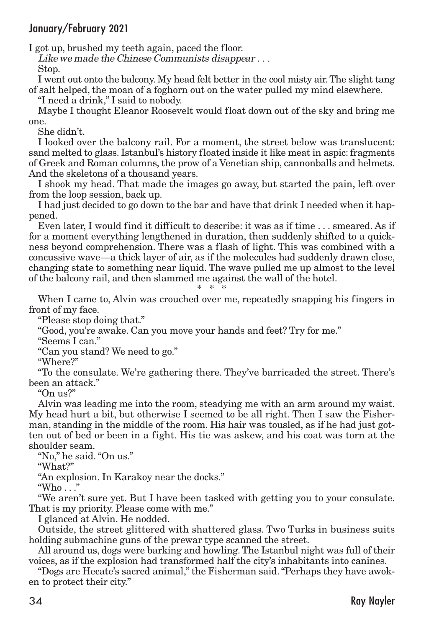I got up, brushed my teeth again, paced the floor.

Like we made the Chinese Communists disappear . . . Stop.

I went out onto the balcony. My head felt better in the cool misty air.The slight tang of salt helped, the moan of a foghorn out on the water pulled my mind elsewhere.

"I need a drink," I said to nobody.

Maybe I thought Eleanor Roosevelt would float down out of the sky and bring me one.

She didn't.

I looked over the balcony rail. For a moment, the street below was translucent: sand melted to glass. Istanbul's history floated inside it like meat in aspic: fragments of Greek and Roman columns, the prow of a Venetian ship, cannonballs and helmets. And the skeletons of a thousand years.

I shook my head. That made the images go away, but started the pain, left over from the loop session, back up.

I had just decided to go down to the bar and have that drink I needed when it happened.

Even later, I would find it difficult to describe: it was as if time . . . smeared. As if for a moment everything lengthened in duration, then suddenly shifted to a quickness beyond comprehension. There was a flash of light. This was combined with a concussive wave—a thick layer of air, as if the molecules had suddenly drawn close, changing state to something near liquid. The wave pulled me up almost to the level of the balcony rail, and then slammed me against the wall of the hotel. \* \* \*

When I came to, Alvin was crouched over me, repeatedly snapping his fingers in front of my face.

"Please stop doing that."

"Good, you're awake. Can you move your hands and feet? Try for me."

"Seems I can."

"Can you stand? We need to go."

"Where?"

"To the consulate. We're gathering there. They've barricaded the street. There's been an attack."

" $On$   $11S$ <sup>?"</sup>

Alvin was leading me into the room, steadying me with an arm around my waist. My head hurt a bit, but otherwise I seemed to be all right. Then I saw the Fisherman, standing in the middle of the room. His hair was tousled, as if he had just gotten out of bed or been in a fight. His tie was askew, and his coat was torn at the shoulder seam.

"No," he said."On us."

"What?"

"An explosion. In Karakoy near the docks."

"Who  $\ldots$ "

"We aren't sure yet. But I have been tasked with getting you to your consulate. That is my priority. Please come with me."

I glanced at Alvin. He nodded.

Outside, the street glittered with shattered glass. Two Turks in business suits holding submachine guns of the prewar type scanned the street.

All around us, dogs were barking and howling.The Istanbul night was full of their voices, as if the explosion had transformed half the city's inhabitants into canines.

"Dogs are Hecate's sacred animal," the Fisherman said."Perhaps they have awoken to protect their city."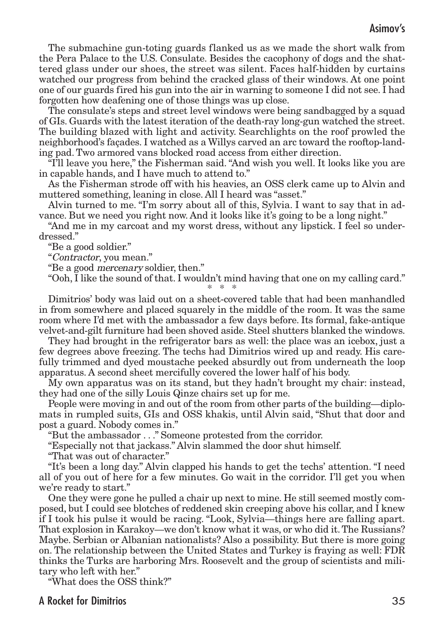# Asimov's

The submachine gun-toting guards flanked us as we made the short walk from the Pera Palace to the U.S. Consulate. Besides the cacophony of dogs and the shattered glass under our shoes, the street was silent. Faces half-hidden by curtains watched our progress from behind the cracked glass of their windows. At one point one of our guards fired his gun into the air in warning to someone I did not see. I had forgotten how deafening one of those things was up close.

The consulate's steps and street level windows were being sandbagged by a squad of GIs. Guards with the latest iteration of the death-ray long-gun watched the street. The building blazed with light and activity. Searchlights on the roof prowled the neighborhood's façades. I watched as a Willys carved an arc toward the rooftop-landing pad. Two armored vans blocked road access from either direction.

"I'll leave you here," the Fisherman said."And wish you well. It looks like you are in capable hands, and I have much to attend to."

As the Fisherman strode off with his heavies, an OSS clerk came up to Alvin and muttered something, leaning in close. All I heard was "asset."

Alvin turned to me. "I'm sorry about all of this, Sylvia. I want to say that in advance. But we need you right now. And it looks like it's going to be a long night."

"And me in my carcoat and my worst dress, without any lipstick. I feel so underdressed."

"Be a good soldier."

"Contractor, you mean."

"Be a good mercenary soldier, then."

"Ooh, I like the sound of that. I wouldn't mind having that one on my calling card." \* \* \*

Dimitrios' body was laid out on a sheet-covered table that had been manhandled in from somewhere and placed squarely in the middle of the room. It was the same room where I'd met with the ambassador a few days before. Its formal, fake-antique velvet-and-gilt furniture had been shoved aside. Steel shutters blanked the windows.

They had brought in the refrigerator bars as well: the place was an icebox, just a few degrees above freezing. The techs had Dimitrios wired up and ready. His carefully trimmed and dyed moustache peeked absurdly out from underneath the loop apparatus. A second sheet mercifully covered the lower half of his body.

My own apparatus was on its stand, but they hadn't brought my chair: instead, they had one of the silly Louis Qinze chairs set up for me.

People were moving in and out of the room from other parts of the building—diplomats in rumpled suits, GIs and OSS khakis, until Alvin said, "Shut that door and post a guard. Nobody comes in."

"But the ambassador . . ." Someone protested from the corridor.

"Especially not that jackass." Alvin slammed the door shut himself.

"That was out of character."

"It's been a long day." Alvin clapped his hands to get the techs' attention. "I need all of you out of here for a few minutes. Go wait in the corridor. I'll get you when we're ready to start."

One they were gone he pulled a chair up next to mine. He still seemed mostly composed, but I could see blotches of reddened skin creeping above his collar, and I knew if I took his pulse it would be racing. "Look, Sylvia—things here are falling apart. That explosion in Karakoy—we don't know what it was, or who did it.The Russians? Maybe. Serbian or Albanian nationalists? Also a possibility. But there is more going on. The relationship between the United States and Turkey is fraying as well: FDR thinks the Turks are harboring Mrs. Roosevelt and the group of scientists and military who left with her."

"What does the OSS think?"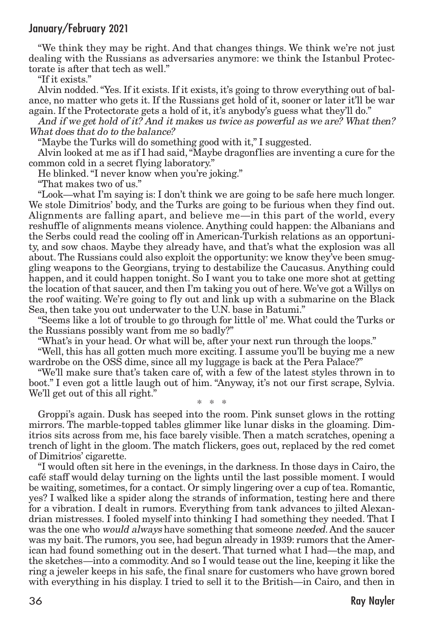"We think they may be right. And that changes things. We think we're not just dealing with the Russians as adversaries anymore: we think the Istanbul Protectorate is after that tech as well."

"If it exists."

Alvin nodded."Yes. If it exists. If it exists, it's going to throw everything out of balance, no matter who gets it. If the Russians get hold of it, sooner or later it'll be war again. If the Protectorate gets a hold of it, it's anybody's guess what they'll do."

And if we get hold of it? And it makes us twice as powerful as we are? What then? What does that do to the balance?

"Maybe the Turks will do something good with it," I suggested.

Alvin looked at me as if I had said,"Maybe dragonflies are inventing a cure for the common cold in a secret flying laboratory."

He blinked."I never know when you're joking."

"That makes two of us."

"Look—what I'm saying is: I don't think we are going to be safe here much longer. We stole Dimitrios' body, and the Turks are going to be furious when they find out. Alignments are falling apart, and believe me—in this part of the world, every reshuffle of alignments means violence. Anything could happen: the Albanians and the Serbs could read the cooling off in American-Turkish relations as an opportunity, and sow chaos. Maybe they already have, and that's what the explosion was all about.The Russians could also exploit the opportunity: we know they've been smuggling weapons to the Georgians, trying to destabilize the Caucasus. Anything could happen, and it could happen tonight. So I want you to take one more shot at getting the location of that saucer, and then I'm taking you out of here.We've got a Willys on the roof waiting. We're going to fly out and link up with a submarine on the Black Sea, then take you out underwater to the U.N. base in Batumi."

"Seems like a lot of trouble to go through for little ol' me. What could the Turks or the Russians possibly want from me so badly?"

"What's in your head. Or what will be, after your next run through the loops."

"Well, this has all gotten much more exciting. I assume you'll be buying me a new wardrobe on the OSS dime, since all my luggage is back at the Pera Palace?"

"We'll make sure that's taken care of, with a few of the latest styles thrown in to boot." I even got a little laugh out of him. "Anyway, it's not our first scrape, Sylvia. We'll get out of this all right." \* \* \*

Groppi's again. Dusk has seeped into the room. Pink sunset glows in the rotting mirrors. The marble-topped tables glimmer like lunar disks in the gloaming. Dimitrios sits across from me, his face barely visible. Then a match scratches, opening a trench of light in the gloom. The match flickers, goes out, replaced by the red comet of Dimitrios' cigarette.

"I would often sit here in the evenings, in the darkness. In those days in Cairo,the café staff would delay turning on the lights until the last possible moment. I would be waiting, sometimes, for a contact. Or simply lingering over a cup of tea. Romantic, yes? I walked like a spider along the strands of information, testing here and there for a vibration. I dealt in rumors. Everything from tank advances to jilted Alexandrian mistresses. I fooled myself into thinking I had something they needed. That I was the one who *would always* have something that someone *needed*. And the saucer was my bait.The rumors, you see, had begun already in 1939: rumors that the American had found something out in the desert. That turned what I had—the map, and the sketches—into a commodity. And so I would tease out the line, keeping it like the ring a jeweler keeps in his safe, the final snare for customers who have grown bored with everything in his display. I tried to sell it to the British—in Cairo, and then in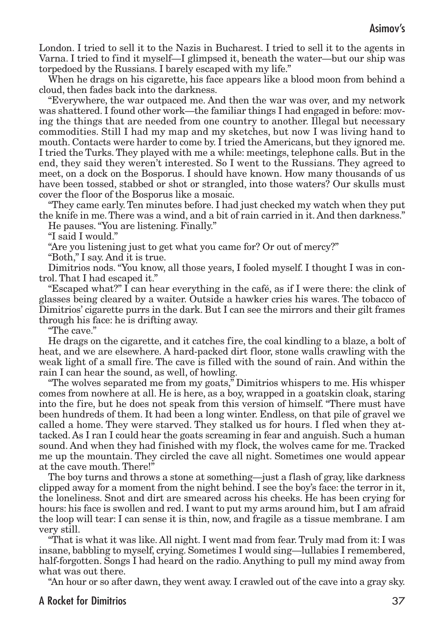London. I tried to sell it to the Nazis in Bucharest. I tried to sell it to the agents in Varna. I tried to find it myself—I glimpsed it, beneath the water—but our ship was torpedoed by the Russians. I barely escaped with my life."

When he drags on his cigarette, his face appears like a blood moon from behind a cloud, then fades back into the darkness.

"Everywhere, the war outpaced me. And then the war was over, and my network was shattered. I found other work—the familiar things I had engaged in before: moving the things that are needed from one country to another. Illegal but necessary commodities. Still I had my map and my sketches, but now I was living hand to mouth. Contacts were harder to come by. I tried the Americans, but they ignored me. I tried the Turks.They played with me a while: meetings, telephone calls. But in the end, they said they weren't interested. So I went to the Russians. They agreed to meet, on a dock on the Bosporus. I should have known. How many thousands of us have been tossed, stabbed or shot or strangled, into those waters? Our skulls must cover the floor of the Bosporus like a mosaic.

"They came early.Ten minutes before. I had just checked my watch when they put the knife in me.There was a wind, and a bit of rain carried in it. And then darkness."

He pauses."You are listening. Finally."

"I said I would."

"Are you listening just to get what you came for? Or out of mercy?"

"Both," I say. And it is true.

Dimitrios nods."You know, all those years, I fooled myself. I thought I was in control. That I had escaped it."

"Escaped what?" I can hear everything in the café, as if I were there: the clink of glasses being cleared by a waiter. Outside a hawker cries his wares. The tobacco of Dimitrios' cigarette purrs in the dark. But I can see the mirrors and their gilt frames through his face: he is drifting away.

"The cave."

He drags on the cigarette, and it catches fire, the coal kindling to a blaze, a bolt of heat, and we are elsewhere. A hard-packed dirt floor, stone walls crawling with the weak light of a small fire. The cave is filled with the sound of rain. And within the rain I can hear the sound, as well, of howling.

"The wolves separated me from my goats," Dimitrios whispers to me. His whisper comes from nowhere at all. He is here, as a boy, wrapped in a goatskin cloak, staring into the fire, but he does not speak from this version of himself. "There must have been hundreds of them. It had been a long winter. Endless, on that pile of gravel we called a home. They were starved. They stalked us for hours. I fled when they attacked. As I ran I could hear the goats screaming in fear and anguish. Such a human sound. And when they had finished with my flock, the wolves came for me. Tracked me up the mountain. They circled the cave all night. Sometimes one would appear at the cave mouth. There!"

The boy turns and throws a stone at something—just a flash of gray, like darkness clipped away for a moment from the night behind. I see the boy's face: the terror in it, the loneliness. Snot and dirt are smeared across his cheeks. He has been crying for hours: his face is swollen and red. I want to put my arms around him, but I am afraid the loop will tear: I can sense it is thin, now, and fragile as a tissue membrane. I am very still.

"That is what it was like. All night. I went mad from fear.Truly mad from it: I was insane, babbling to myself, crying. Sometimes I would sing—lullabies I remembered, half-forgotten. Songs I had heard on the radio. Anything to pull my mind away from what was out there.

"An hour or so after dawn, they went away. I crawled out of the cave into a gray sky.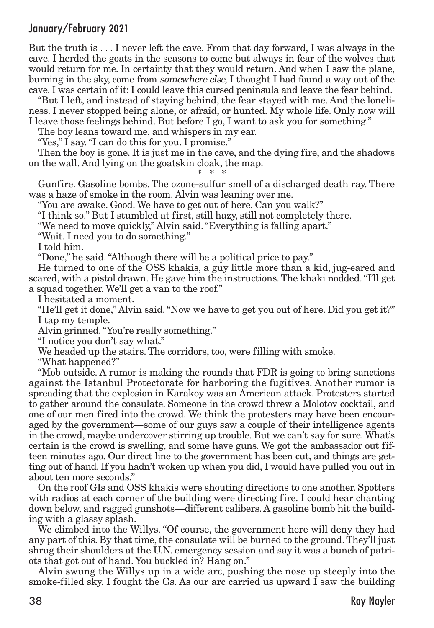But the truth is . . . I never left the cave. From that day forward, I was always in the cave. I herded the goats in the seasons to come but always in fear of the wolves that would return for me. In certainty that they would return. And when I saw the plane, burning in the sky, come from somewhere else, I thought I had found a way out of the cave. I was certain of it: I could leave this cursed peninsula and leave the fear behind.

"But I left, and instead of staying behind, the fear stayed with me. And the loneliness. I never stopped being alone, or afraid, or hunted. My whole life. Only now will I leave those feelings behind. But before I go, I want to ask you for something."

The boy leans toward me, and whispers in my ear.

"Yes," I say."I can do this for you. I promise."

Then the boy is gone. It is just me in the cave, and the dying fire, and the shadows on the wall. And lying on the goatskin cloak, the map. \* \* \*

Gunfire. Gasoline bombs. The ozone-sulfur smell of a discharged death ray. There was a haze of smoke in the room. Alvin was leaning over me.

"You are awake. Good. We have to get out of here. Can you walk?"

"I think so." But I stumbled at first, still hazy, still not completely there.

"We need to move quickly," Alvin said."Everything is falling apart."

"Wait. I need you to do something."

I told him.

"Done," he said."Although there will be a political price to pay."

He turned to one of the OSS khakis, a guy little more than a kid, jug-eared and scared, with a pistol drawn. He gave him the instructions.The khaki nodded."I'll get a squad together. We'll get a van to the roof."

I hesitated a moment.

"He'll get it done," Alvin said."Now we have to get you out of here. Did you get it?" I tap my temple.

Alvin grinned."You're really something."

"I notice you don't say what."

We headed up the stairs. The corridors, too, were filling with smoke.

"What happened?"

"Mob outside. A rumor is making the rounds that FDR is going to bring sanctions against the Istanbul Protectorate for harboring the fugitives. Another rumor is spreading that the explosion in Karakoy was an American attack. Protesters started to gather around the consulate. Someone in the crowd threw a Molotov cocktail, and one of our men fired into the crowd. We think the protesters may have been encouraged by the government—some of our guys saw a couple of their intelligence agents in the crowd, maybe undercover stirring up trouble. But we can't say for sure.What's certain is the crowd is swelling, and some have guns. We got the ambassador out fifteen minutes ago. Our direct line to the government has been cut, and things are getting out of hand. If you hadn't woken up when you did, I would have pulled you out in about ten more seconds."

On the roof GIs and OSS khakis were shouting directions to one another. Spotters with radios at each corner of the building were directing fire. I could hear chanting down below, and ragged gunshots—different calibers. A gasoline bomb hit the building with a glassy splash.

We climbed into the Willys. "Of course, the government here will deny they had any part of this. By that time, the consulate will be burned to the ground. They'll just shrug their shoulders at the U.N. emergency session and say it was a bunch of patriots that got out of hand. You buckled in? Hang on."

Alvin swung the Willys up in a wide arc, pushing the nose up steeply into the smoke-filled sky. I fought the Gs. As our arc carried us upward I saw the building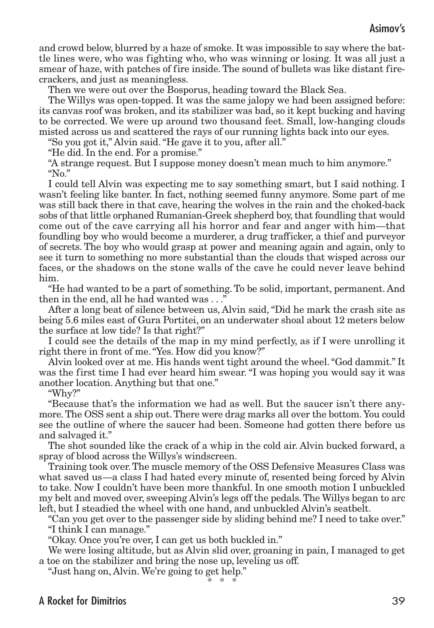and crowd below, blurred by a haze of smoke. It was impossible to say where the battle lines were, who was fighting who, who was winning or losing. It was all just a smear of haze, with patches of fire inside. The sound of bullets was like distant firecrackers, and just as meaningless.

Then we were out over the Bosporus, heading toward the Black Sea.

The Willys was open-topped. It was the same jalopy we had been assigned before: its canvas roof was broken, and its stabilizer was bad, so it kept bucking and having to be corrected. We were up around two thousand feet. Small, low-hanging clouds misted across us and scattered the rays of our running lights back into our eyes.

"So you got it," Alvin said."He gave it to you, after all."

"He did. In the end. For a promise."

"A strange request. But I suppose money doesn't mean much to him anymore." " $No.$ "

I could tell Alvin was expecting me to say something smart, but I said nothing. I wasn't feeling like banter. In fact, nothing seemed funny anymore. Some part of me was still back there in that cave, hearing the wolves in the rain and the choked-back sobs of that little orphaned Rumanian-Greek shepherd boy, that foundling that would come out of the cave carrying all his horror and fear and anger with him—that foundling boy who would become a murderer, a drug trafficker, a thief and purveyor of secrets. The boy who would grasp at power and meaning again and again, only to see it turn to something no more substantial than the clouds that wisped across our faces, or the shadows on the stone walls of the cave he could never leave behind him.

"He had wanted to be a part of something.To be solid, important, permanent. And then in the end, all he had wanted was . . ."

After a long beat of silence between us, Alvin said,"Did he mark the crash site as being 5.6 miles east of Gura Portitei, on an underwater shoal about 12 meters below the surface at low tide? Is that right?"

I could see the details of the map in my mind perfectly, as if I were unrolling it right there in front of me."Yes. How did you know?"

Alvin looked over at me. His hands went tight around the wheel."God dammit." It was the first time I had ever heard him swear. "I was hoping you would say it was another location. Anything but that one."

"Why?"

"Because that's the information we had as well. But the saucer isn't there anymore.The OSS sent a ship out.There were drag marks all over the bottom. You could see the outline of where the saucer had been. Someone had gotten there before us and salvaged it."

The shot sounded like the crack of a whip in the cold air. Alvin bucked forward, a spray of blood across the Willys's windscreen.

Training took over.The muscle memory of the OSS Defensive Measures Class was what saved us—a class I had hated every minute of, resented being forced by Alvin to take. Now I couldn't have been more thankful. In one smooth motion I unbuckled my belt and moved over, sweeping Alvin's legs off the pedals.The Willys began to arc left, but I steadied the wheel with one hand, and unbuckled Alvin's seatbelt.

"Can you get over to the passenger side by sliding behind me? I need to take over." "I think I can manage."

"Okay. Once you're over, I can get us both buckled in."

We were losing altitude, but as Alvin slid over, groaning in pain, I managed to get a toe on the stabilizer and bring the nose up, leveling us off.

"Just hang on, Alvin. We're going to get help."

\* \* \*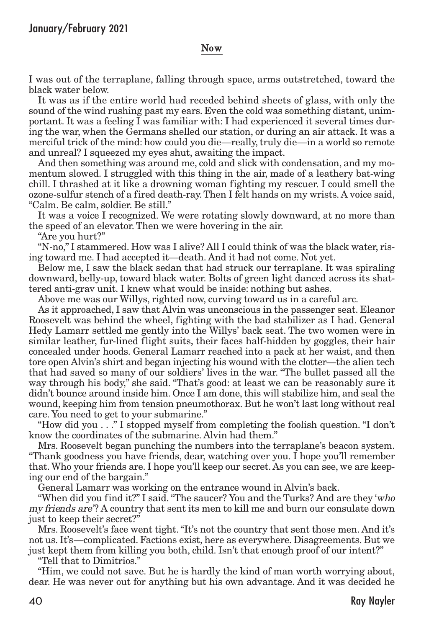#### Now

I was out of the terraplane, falling through space, arms outstretched, toward the black water below.

It was as if the entire world had receded behind sheets of glass, with only the sound of the wind rushing past my ears. Even the cold was something distant, unimportant. It was a feeling I was familiar with: I had experienced it several times during the war, when the Germans shelled our station, or during an air attack. It was a merciful trick of the mind: how could you die—really,truly die—in a world so remote and unreal? I squeezed my eyes shut, awaiting the impact.

And then something was around me, cold and slick with condensation, and my momentum slowed. I struggled with this thing in the air, made of a leathery bat-wing chill. I thrashed at it like a drowning woman fighting my rescuer. I could smell the ozone-sulfur stench of a fired death-ray.Then I felt hands on my wrists. A voice said, "Calm. Be calm, soldier. Be still."

It was a voice I recognized. We were rotating slowly downward, at no more than the speed of an elevator. Then we were hovering in the air.

"Are you hurt?"

"N-no," I stammered. How was I alive? All I could think of was the black water, rising toward me. I had accepted it—death. And it had not come. Not yet.

Below me, I saw the black sedan that had struck our terraplane. It was spiraling downward, belly-up, toward black water. Bolts of green light danced across its shattered anti-grav unit. I knew what would be inside: nothing but ashes.

Above me was our Willys, righted now, curving toward us in a careful arc.

As it approached, I saw that Alvin was unconscious in the passenger seat. Eleanor Roosevelt was behind the wheel, fighting with the bad stabilizer as I had. General Hedy Lamarr settled me gently into the Willys' back seat. The two women were in similar leather, fur-lined flight suits, their faces half-hidden by goggles, their hair concealed under hoods. General Lamarr reached into a pack at her waist, and then tore open Alvin's shirt and began injecting his wound with the clotter—the alien tech that had saved so many of our soldiers' lives in the war. "The bullet passed all the way through his body," she said. "That's good: at least we can be reasonably sure it didn't bounce around inside him. Once I am done, this will stabilize him, and seal the wound, keeping him from tension pneumothorax. But he won't last long without real care. You need to get to your submarine."

"How did you . . ." I stopped myself from completing the foolish question. "I don't know the coordinates of the submarine. Alvin had them."

Mrs. Roosevelt began punching the numbers into the terraplane's beacon system. "Thank goodness you have friends, dear, watching over you. I hope you'll remember that.Who your friends are. I hope you'll keep our secret. As you can see, we are keeping our end of the bargain."

General Lamarr was working on the entrance wound in Alvin's back.

"When did you find it?" I said. "The saucer? You and the Turks? And are they 'who my friends are'? A country that sent its men to kill me and burn our consulate down just to keep their secret?"

Mrs. Roosevelt's face went tight."It's not the country that sent those men. And it's not us. It's—complicated. Factions exist, here as everywhere. Disagreements. But we just kept them from killing you both, child. Isn't that enough proof of our intent?"

"Tell that to Dimitrios."

"Him, we could not save. But he is hardly the kind of man worth worrying about, dear. He was never out for anything but his own advantage. And it was decided he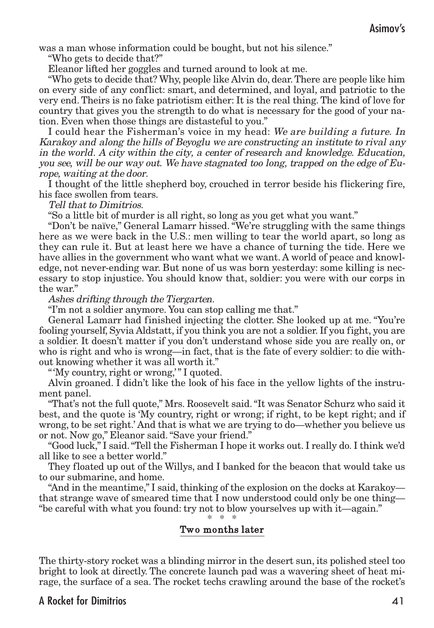was a man whose information could be bought, but not his silence."

"Who gets to decide that?"

Eleanor lifted her goggles and turned around to look at me.

"Who gets to decide that? Why, people like Alvin do, dear.There are people like him on every side of any conflict: smart, and determined, and loyal, and patriotic to the very end. Theirs is no fake patriotism either: It is the real thing. The kind of love for country that gives you the strength to do what is necessary for the good of your nation. Even when those things are distasteful to you."

I could hear the Fisherman's voice in my head: We are building a future. In Karakoy and along the hills of Beyoglu we are constructing an institute to rival any in the world. A city within the city, <sup>a</sup> center of research and knowledge. Education, you see, will be our way out. We have stagnated too long, trapped on the edge of Europe, waiting at the door.

I thought of the little shepherd boy, crouched in terror beside his flickering fire, his face swollen from tears.

Tell that to Dimitrios.

"So a little bit of murder is all right, so long as you get what you want."

"Don't be naïve," General Lamarr hissed."We're struggling with the same things here as we were back in the U.S.: men willing to tear the world apart, so long as they can rule it. But at least here we have a chance of turning the tide. Here we have allies in the government who want what we want. A world of peace and knowledge, not never-ending war. But none of us was born yesterday: some killing is necessary to stop injustice. You should know that, soldier: you were with our corps in the war"

Ashes drifting through the Tiergarten.

"I'm not a soldier anymore. You can stop calling me that."

General Lamarr had finished injecting the clotter. She looked up at me. "You're fooling yourself, Syvia Aldstatt, if you think you are not a soldier. If you fight, you are a soldier. It doesn't matter if you don't understand whose side you are really on, or who is right and who is wrong—in fact, that is the fate of every soldier: to die without knowing whether it was all worth it."

"'My country, right or wrong,'" I quoted.

Alvin groaned. I didn't like the look of his face in the yellow lights of the instrument panel.

"That's not the full quote," Mrs. Roosevelt said."It was Senator Schurz who said it best, and the quote is 'My country, right or wrong; if right, to be kept right; and if wrong, to be set right.' And that is what we are trying to do—whether you believe us or not. Now go," Eleanor said."Save your friend."

"Good luck," I said."Tell the Fisherman I hope it works out. I really do. I think we'd all like to see a better world."

They floated up out of the Willys, and I banked for the beacon that would take us to our submarine, and home.

"And in the meantime," I said, thinking of the explosion on the docks at Karakoy that strange wave of smeared time that I now understood could only be one thing— "be careful with what you found: try not to blow yourselves up with it—again."

\* \* \*

#### Two months later

The thirty-story rocket was a blinding mirror in the desert sun, its polished steel too bright to look at directly. The concrete launch pad was a wavering sheet of heat mirage, the surface of a sea. The rocket techs crawling around the base of the rocket's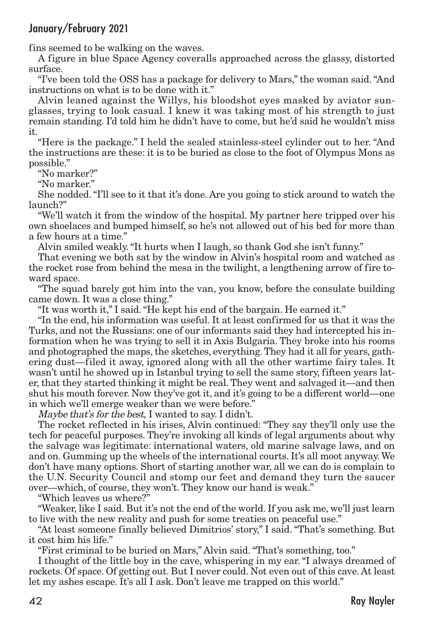fins seemed to be walking on the waves.

A figure in blue Space Agency coveralls approached across the glassy, distorted surface.

"I've been told the OSS has a package for delivery to Mars," the woman said."And instructions on what is to be done with it."

Alvin leaned against the Willys, his bloodshot eyes masked by aviator sunglasses, trying to look casual. I knew it was taking most of his strength to just remain standing. I'd told him he didn't have to come, but he'd said he wouldn't miss it.

"Here is the package." I held the sealed stainless-steel cylinder out to her. "And the instructions are these: it is to be buried as close to the foot of Olympus Mons as possible."

"No marker?"

"No marker."

She nodded."I'll see to it that it's done. Are you going to stick around to watch the launch?"

"We'll watch it from the window of the hospital. My partner here tripped over his own shoelaces and bumped himself, so he's not allowed out of his bed for more than a few hours at a time."

Alvin smiled weakly."It hurts when I laugh, so thank God she isn't funny."

That evening we both sat by the window in Alvin's hospital room and watched as the rocket rose from behind the mesa in the twilight, a lengthening arrow of fire toward space.

"The squad barely got him into the van, you know, before the consulate building came down. It was a close thing."

"It was worth it," I said."He kept his end of the bargain. He earned it."

"In the end, his information was useful. It at least confirmed for us that it was the Turks, and not the Russians: one of our informants said they had intercepted his information when he was trying to sell it in Axis Bulgaria. They broke into his rooms and photographed the maps, the sketches, everything. They had it all for years, gathering dust—filed it away, ignored along with all the other wartime fairy tales. It wasn't until he showed up in Istanbul trying to sell the same story, fifteen years later, that they started thinking it might be real.They went and salvaged it—and then shut his mouth forever. Now they've got it, and it's going to be a different world—one in which we'll emerge weaker than we were before."

Maybe that's for the best, I wanted to say. I didn't.

The rocket reflected in his irises, Alvin continued: "They say they'll only use the tech for peaceful purposes. They're invoking all kinds of legal arguments about why the salvage was legitimate: international waters, old marine salvage laws, and on and on. Gumming up the wheels of the international courts. It's all moot anyway.We don't have many options. Short of starting another war, all we can do is complain to the U.N. Security Council and stomp our feet and demand they turn the saucer over—which, of course, they won't. They know our hand is weak."

"Which leaves us where?"

"Weaker, like I said. But it's not the end of the world. If you ask me, we'll just learn to live with the new reality and push for some treaties on peaceful use."

"At least someone finally believed Dimitrios' story," I said."That's something. But it cost him his life."

"First criminal to be buried on Mars," Alvin said."That's something, too."

I thought of the little boy in the cave, whispering in my ear. "I always dreamed of rockets. Of space. Of getting out. But I never could. Not even out of this cave. At least let my ashes escape. It's all I ask. Don't leave me trapped on this world."